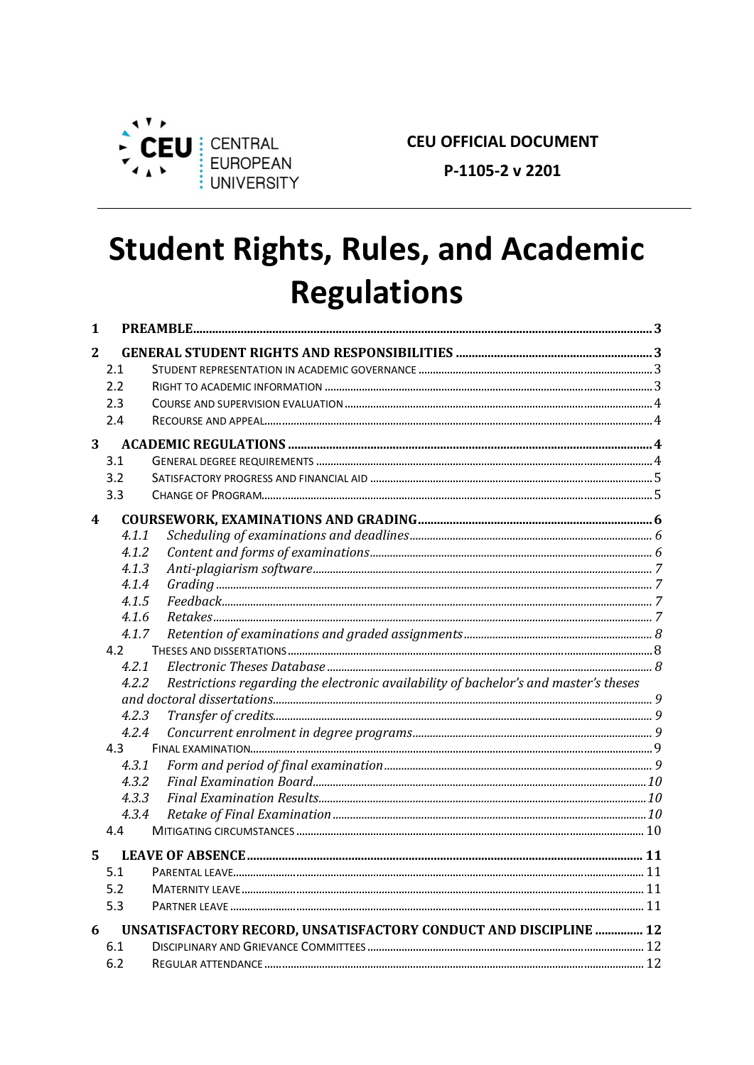

**CEU OFFICIAL DOCUMENT** 

P-1105-2 v 2201

# **Student Rights, Rules, and Academic Regulations**

| 1 |       |                                                                                      |  |
|---|-------|--------------------------------------------------------------------------------------|--|
| 2 |       |                                                                                      |  |
|   | 2.1   |                                                                                      |  |
|   | 2.2   |                                                                                      |  |
|   | 2.3   |                                                                                      |  |
|   | 2.4   |                                                                                      |  |
| 3 |       |                                                                                      |  |
|   | 3.1   |                                                                                      |  |
|   | 3.2   |                                                                                      |  |
|   | 3.3   |                                                                                      |  |
| 4 |       |                                                                                      |  |
|   | 4.1.1 |                                                                                      |  |
|   | 4.1.2 |                                                                                      |  |
|   | 4.1.3 |                                                                                      |  |
|   | 4.1.4 |                                                                                      |  |
|   | 4.1.5 |                                                                                      |  |
|   | 4.1.6 |                                                                                      |  |
|   | 4.1.7 |                                                                                      |  |
|   | 4.2   |                                                                                      |  |
|   | 4.2.1 |                                                                                      |  |
|   | 4.2.2 | Restrictions regarding the electronic availability of bachelor's and master's theses |  |
|   |       |                                                                                      |  |
|   | 4.2.3 |                                                                                      |  |
|   | 4.2.4 |                                                                                      |  |
|   | 4.3   |                                                                                      |  |
|   | 4.3.1 |                                                                                      |  |
|   | 4.3.2 |                                                                                      |  |
|   | 4.3.3 |                                                                                      |  |
|   | 4.3.4 |                                                                                      |  |
|   | 4.4   |                                                                                      |  |
| 5 |       |                                                                                      |  |
|   | 5.1   |                                                                                      |  |
|   | 5.2   |                                                                                      |  |
|   | 5.3   |                                                                                      |  |
| 6 |       | UNSATISFACTORY RECORD, UNSATISFACTORY CONDUCT AND DISCIPLINE  12                     |  |
|   | 6.1   |                                                                                      |  |
|   | 6.2   |                                                                                      |  |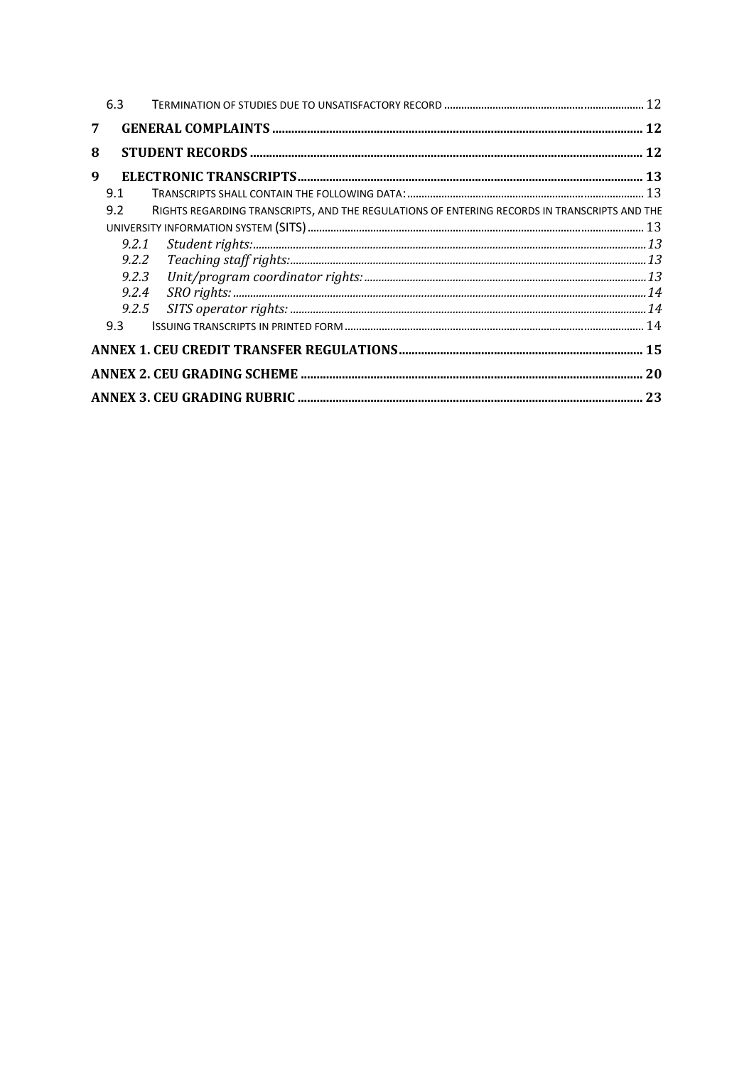|   | 6.3   |                                                                                              |  |
|---|-------|----------------------------------------------------------------------------------------------|--|
| 7 |       |                                                                                              |  |
| 8 |       |                                                                                              |  |
| 9 |       |                                                                                              |  |
|   | 9.1   |                                                                                              |  |
|   | 9.2   | RIGHTS REGARDING TRANSCRIPTS, AND THE REGULATIONS OF ENTERING RECORDS IN TRANSCRIPTS AND THE |  |
|   |       |                                                                                              |  |
|   | 9.2.1 |                                                                                              |  |
|   | 9.2.2 |                                                                                              |  |
|   | 9.2.3 |                                                                                              |  |
|   | 9.2.4 | $\label{thm:sc} SRO \ right is: 14$                                                          |  |
|   | 9.2.5 |                                                                                              |  |
|   | 9.3   |                                                                                              |  |
|   |       |                                                                                              |  |
|   |       |                                                                                              |  |
|   |       |                                                                                              |  |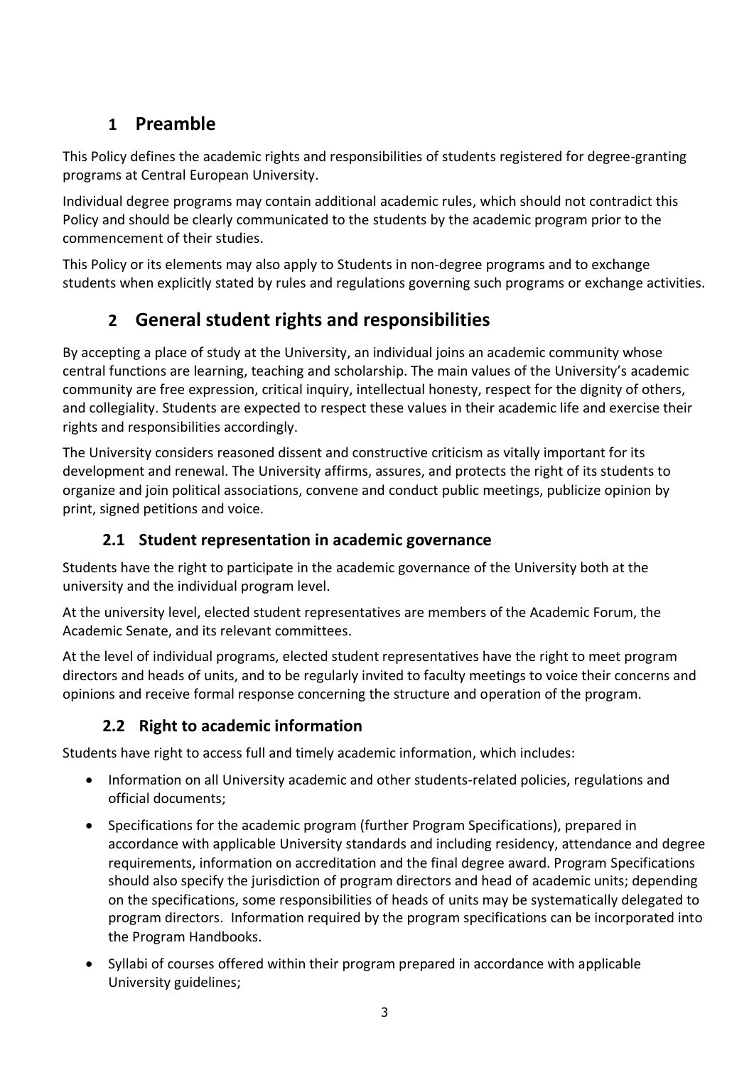# **1 Preamble**

This Policy defines the academic rights and responsibilities of students registered for degree-granting programs at Central European University.

Individual degree programs may contain additional academic rules, which should not contradict this Policy and should be clearly communicated to the students by the academic program prior to the commencement of their studies.

This Policy or its elements may also apply to Students in non-degree programs and to exchange students when explicitly stated by rules and regulations governing such programs or exchange activities.

# **2 General student rights and responsibilities**

By accepting a place of study at the University, an individual joins an academic community whose central functions are learning, teaching and scholarship. The main values of the University's academic community are free expression, critical inquiry, intellectual honesty, respect for the dignity of others, and collegiality. Students are expected to respect these values in their academic life and exercise their rights and responsibilities accordingly.

The University considers reasoned dissent and constructive criticism as vitally important for its development and renewal. The University affirms, assures, and protects the right of its students to organize and join political associations, convene and conduct public meetings, publicize opinion by print, signed petitions and voice.

### **2.1 Student representation in academic governance**

Students have the right to participate in the academic governance of the University both at the university and the individual program level.

At the university level, elected student representatives are members of the Academic Forum, the Academic Senate, and its relevant committees.

At the level of individual programs, elected student representatives have the right to meet program directors and heads of units, and to be regularly invited to faculty meetings to voice their concerns and opinions and receive formal response concerning the structure and operation of the program.

## **2.2 Right to academic information**

Students have right to access full and timely academic information, which includes:

- Information on all University academic and other students-related policies, regulations and official documents;
- Specifications for the academic program (further Program Specifications), prepared in accordance with applicable University standards and including residency, attendance and degree requirements, information on accreditation and the final degree award. Program Specifications should also specify the jurisdiction of program directors and head of academic units; depending on the specifications, some responsibilities of heads of units may be systematically delegated to program directors. Information required by the program specifications can be incorporated into the Program Handbooks.
- Syllabi of courses offered within their program prepared in accordance with applicable University guidelines;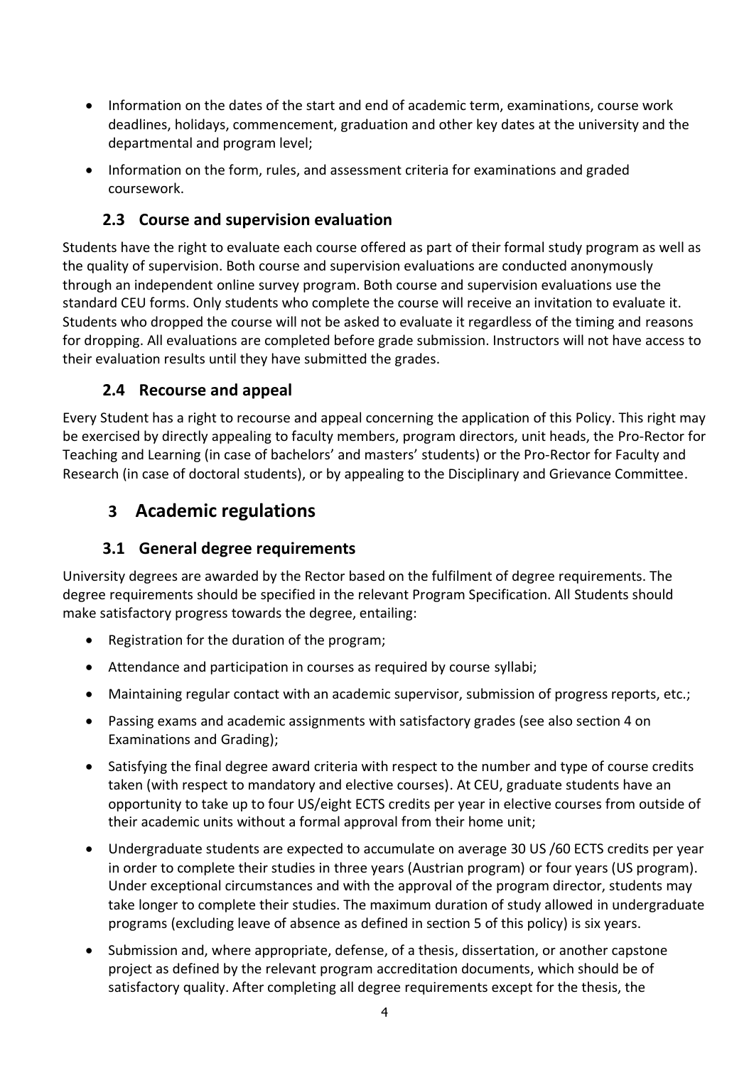- Information on the dates of the start and end of academic term, examinations, course work deadlines, holidays, commencement, graduation and other key dates at the university and the departmental and program level;
- Information on the form, rules, and assessment criteria for examinations and graded coursework.

### **2.3 Course and supervision evaluation**

Students have the right to evaluate each course offered as part of their formal study program as well as the quality of supervision. Both course and supervision evaluations are conducted anonymously through an independent online survey program. Both course and supervision evaluations use the standard CEU forms. Only students who complete the course will receive an invitation to evaluate it. Students who dropped the course will not be asked to evaluate it regardless of the timing and reasons for dropping. All evaluations are completed before grade submission. Instructors will not have access to their evaluation results until they have submitted the grades.

### **2.4 Recourse and appeal**

Every Student has a right to recourse and appeal concerning the application of this Policy. This right may be exercised by directly appealing to faculty members, program directors, unit heads, the Pro-Rector for Teaching and Learning (in case of bachelors' and masters' students) or the Pro-Rector for Faculty and Research (in case of doctoral students), or by appealing to the Disciplinary and Grievance Committee.

# **3 Academic regulations**

### **3.1 General degree requirements**

University degrees are awarded by the Rector based on the fulfilment of degree requirements. The degree requirements should be specified in the relevant Program Specification. All Students should make satisfactory progress towards the degree, entailing:

- Registration for the duration of the program;
- Attendance and participation in courses as required by course syllabi;
- Maintaining regular contact with an academic supervisor, submission of progress reports, etc.;
- Passing exams and academic assignments with satisfactory grades (see also section 4 on Examinations and Grading);
- Satisfying the final degree award criteria with respect to the number and type of course credits taken (with respect to mandatory and elective courses). At CEU, graduate students have an opportunity to take up to four US/eight ECTS credits per year in elective courses from outside of their academic units without a formal approval from their home unit;
- Undergraduate students are expected to accumulate on average 30 US /60 ECTS credits per year in order to complete their studies in three years (Austrian program) or four years (US program). Under exceptional circumstances and with the approval of the program director, students may take longer to complete their studies. The maximum duration of study allowed in undergraduate programs (excluding leave of absence as defined in section 5 of this policy) is six years.
- Submission and, where appropriate, defense, of a thesis, dissertation, or another capstone project as defined by the relevant program accreditation documents, which should be of satisfactory quality. After completing all degree requirements except for the thesis, the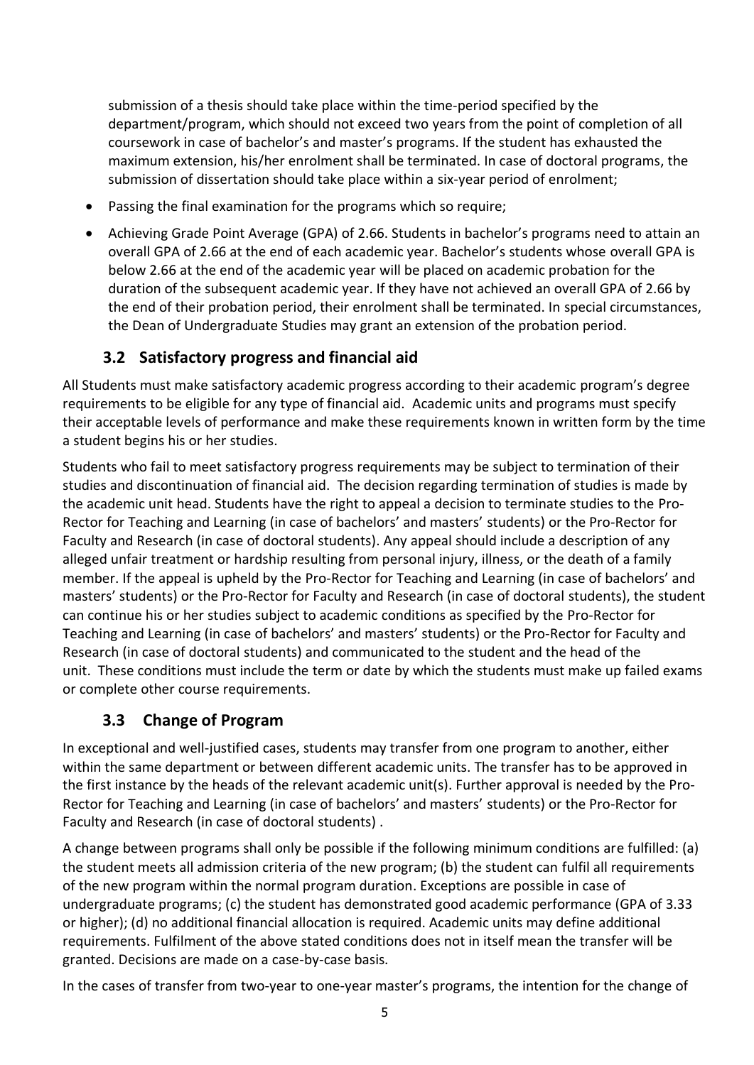submission of a thesis should take place within the time-period specified by the department/program, which should not exceed two years from the point of completion of all coursework in case of bachelor's and master's programs. If the student has exhausted the maximum extension, his/her enrolment shall be terminated. In case of doctoral programs, the submission of dissertation should take place within a six-year period of enrolment;

- Passing the final examination for the programs which so require;
- Achieving Grade Point Average (GPA) of 2.66. Students in bachelor's programs need to attain an overall GPA of 2.66 at the end of each academic year. Bachelor's students whose overall GPA is below 2.66 at the end of the academic year will be placed on academic probation for the duration of the subsequent academic year. If they have not achieved an overall GPA of 2.66 by the end of their probation period, their enrolment shall be terminated. In special circumstances, the Dean of Undergraduate Studies may grant an extension of the probation period.

### **3.2 Satisfactory progress and financial aid**

All Students must make satisfactory academic progress according to their academic program's degree requirements to be eligible for any type of financial aid. Academic units and programs must specify their acceptable levels of performance and make these requirements known in written form by the time a student begins his or her studies.

Students who fail to meet satisfactory progress requirements may be subject to termination of their studies and discontinuation of financial aid. The decision regarding termination of studies is made by the academic unit head. Students have the right to appeal a decision to terminate studies to the Pro-Rector for Teaching and Learning (in case of bachelors' and masters' students) or the Pro-Rector for Faculty and Research (in case of doctoral students). Any appeal should include a description of any alleged unfair treatment or hardship resulting from personal injury, illness, or the death of a family member. If the appeal is upheld by the Pro-Rector for Teaching and Learning (in case of bachelors' and masters' students) or the Pro-Rector for Faculty and Research (in case of doctoral students), the student can continue his or her studies subject to academic conditions as specified by the Pro-Rector for Teaching and Learning (in case of bachelors' and masters' students) or the Pro-Rector for Faculty and Research (in case of doctoral students) and communicated to the student and the head of the unit. These conditions must include the term or date by which the students must make up failed exams or complete other course requirements.

### **3.3 Change of Program**

In exceptional and well-justified cases, students may transfer from one program to another, either within the same department or between different academic units. The transfer has to be approved in the first instance by the heads of the relevant academic unit(s). Further approval is needed by the Pro-Rector for Teaching and Learning (in case of bachelors' and masters' students) or the Pro-Rector for Faculty and Research (in case of doctoral students) .

A change between programs shall only be possible if the following minimum conditions are fulfilled: (a) the student meets all admission criteria of the new program; (b) the student can fulfil all requirements of the new program within the normal program duration. Exceptions are possible in case of undergraduate programs; (c) the student has demonstrated good academic performance (GPA of 3.33 or higher); (d) no additional financial allocation is required. Academic units may define additional requirements. Fulfilment of the above stated conditions does not in itself mean the transfer will be granted. Decisions are made on a case-by-case basis.

In the cases of transfer from two-year to one-year master's programs, the intention for the change of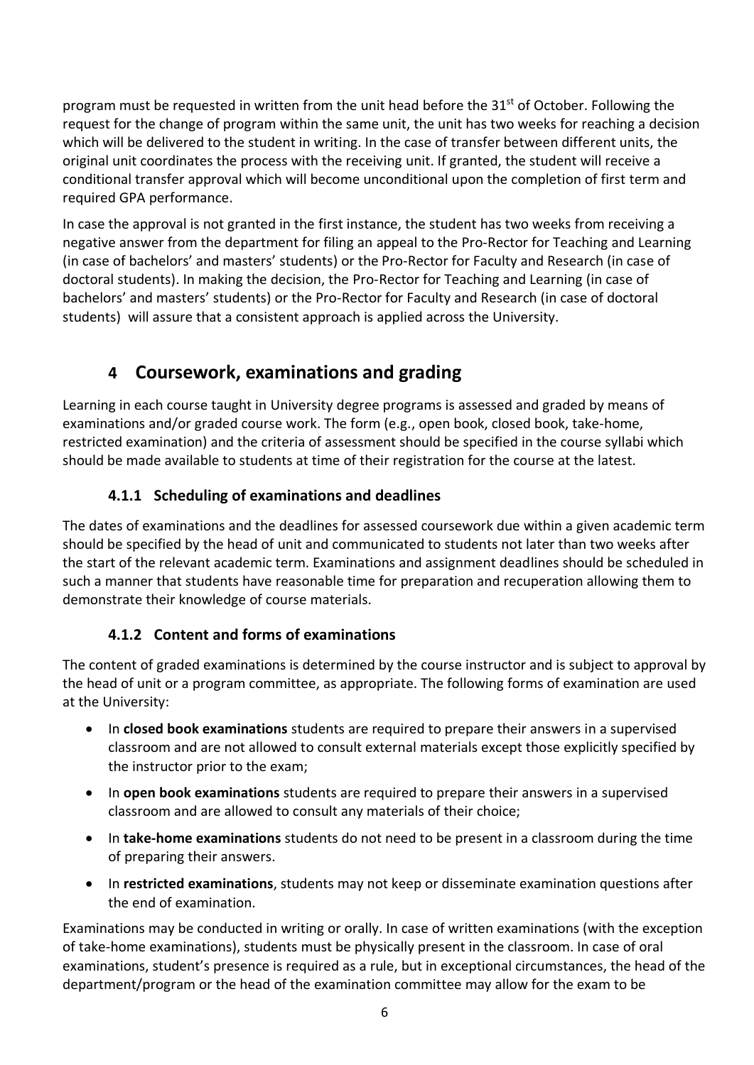program must be requested in written from the unit head before the  $31<sup>st</sup>$  of October. Following the request for the change of program within the same unit, the unit has two weeks for reaching a decision which will be delivered to the student in writing. In the case of transfer between different units, the original unit coordinates the process with the receiving unit. If granted, the student will receive a conditional transfer approval which will become unconditional upon the completion of first term and required GPA performance.

In case the approval is not granted in the first instance, the student has two weeks from receiving a negative answer from the department for filing an appeal to the Pro-Rector for Teaching and Learning (in case of bachelors' and masters' students) or the Pro-Rector for Faculty and Research (in case of doctoral students). In making the decision, the Pro-Rector for Teaching and Learning (in case of bachelors' and masters' students) or the Pro-Rector for Faculty and Research (in case of doctoral students) will assure that a consistent approach is applied across the University.

# **4 Coursework, examinations and grading**

Learning in each course taught in University degree programs is assessed and graded by means of examinations and/or graded course work. The form (e.g., open book, closed book, take-home, restricted examination) and the criteria of assessment should be specified in the course syllabi which should be made available to students at time of their registration for the course at the latest.

### **4.1.1 Scheduling of examinations and deadlines**

The dates of examinations and the deadlines for assessed coursework due within a given academic term should be specified by the head of unit and communicated to students not later than two weeks after the start of the relevant academic term. Examinations and assignment deadlines should be scheduled in such a manner that students have reasonable time for preparation and recuperation allowing them to demonstrate their knowledge of course materials.

### **4.1.2 Content and forms of examinations**

The content of graded examinations is determined by the course instructor and is subject to approval by the head of unit or a program committee, as appropriate. The following forms of examination are used at the University:

- In **closed book examinations** students are required to prepare their answers in a supervised classroom and are not allowed to consult external materials except those explicitly specified by the instructor prior to the exam;
- In **open book examinations** students are required to prepare their answers in a supervised classroom and are allowed to consult any materials of their choice;
- In **take-home examinations** students do not need to be present in a classroom during the time of preparing their answers.
- In **restricted examinations**, students may not keep or disseminate examination questions after the end of examination.

Examinations may be conducted in writing or orally. In case of written examinations (with the exception of take-home examinations), students must be physically present in the classroom. In case of oral examinations, student's presence is required as a rule, but in exceptional circumstances, the head of the department/program or the head of the examination committee may allow for the exam to be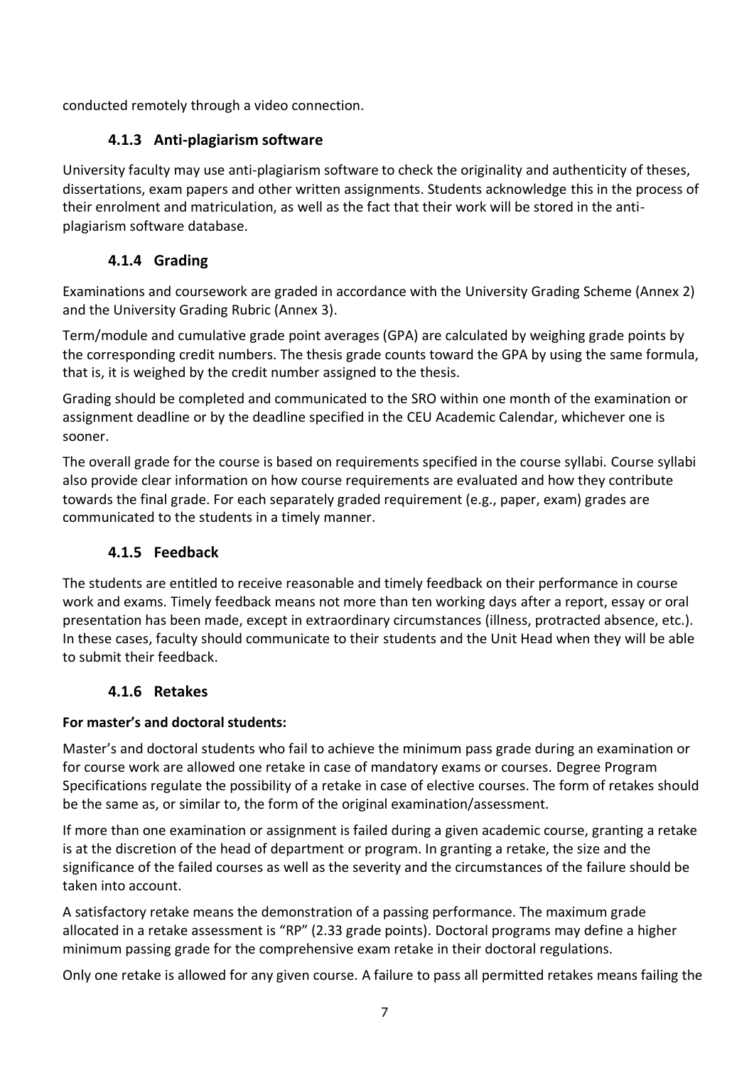conducted remotely through a video connection.

### **4.1.3 Anti-plagiarism software**

University faculty may use anti-plagiarism software to check the originality and authenticity of theses, dissertations, exam papers and other written assignments. Students acknowledge this in the process of their enrolment and matriculation, as well as the fact that their work will be stored in the antiplagiarism software database.

### **4.1.4 Grading**

Examinations and coursework are graded in accordance with the University Grading Scheme (Annex 2) and the University Grading Rubric (Annex 3).

Term/module and cumulative grade point averages (GPA) are calculated by weighing grade points by the corresponding credit numbers. The thesis grade counts toward the GPA by using the same formula, that is, it is weighed by the credit number assigned to the thesis.

Grading should be completed and communicated to the SRO within one month of the examination or assignment deadline or by the deadline specified in the CEU Academic Calendar, whichever one is sooner.

The overall grade for the course is based on requirements specified in the course syllabi. Course syllabi also provide clear information on how course requirements are evaluated and how they contribute towards the final grade. For each separately graded requirement (e.g., paper, exam) grades are communicated to the students in a timely manner.

### **4.1.5 Feedback**

The students are entitled to receive reasonable and timely feedback on their performance in course work and exams. Timely feedback means not more than ten working days after a report, essay or oral presentation has been made, except in extraordinary circumstances (illness, protracted absence, etc.). In these cases, faculty should communicate to their students and the Unit Head when they will be able to submit their feedback.

### **4.1.6 Retakes**

### **For master's and doctoral students:**

Master's and doctoral students who fail to achieve the minimum pass grade during an examination or for course work are allowed one retake in case of mandatory exams or courses. Degree Program Specifications regulate the possibility of a retake in case of elective courses. The form of retakes should be the same as, or similar to, the form of the original examination/assessment.

If more than one examination or assignment is failed during a given academic course, granting a retake is at the discretion of the head of department or program. In granting a retake, the size and the significance of the failed courses as well as the severity and the circumstances of the failure should be taken into account.

A satisfactory retake means the demonstration of a passing performance. The maximum grade allocated in a retake assessment is "RP" (2.33 grade points). Doctoral programs may define a higher minimum passing grade for the comprehensive exam retake in their doctoral regulations.

Only one retake is allowed for any given course. A failure to pass all permitted retakes means failing the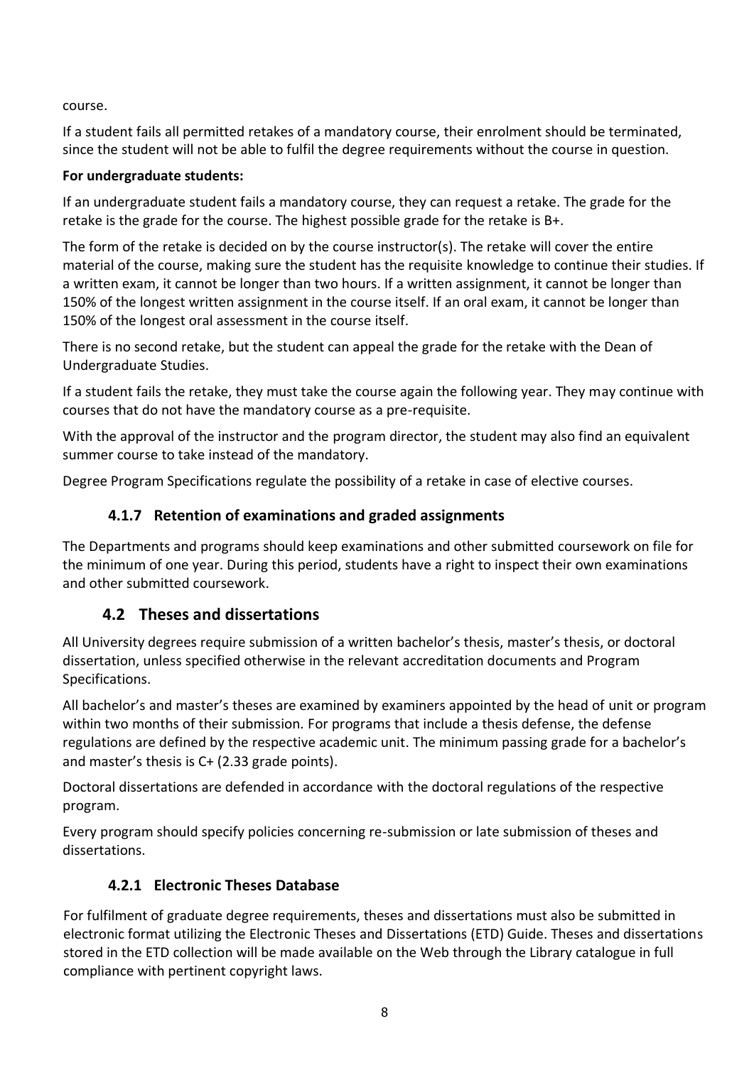course.

If a student fails all permitted retakes of a mandatory course, their enrolment should be terminated, since the student will not be able to fulfil the degree requirements without the course in question.

### **For undergraduate students:**

If an undergraduate student fails a mandatory course, they can request a retake. The grade for the retake is the grade for the course. The highest possible grade for the retake is B+.

The form of the retake is decided on by the course instructor(s). The retake will cover the entire material of the course, making sure the student has the requisite knowledge to continue their studies. If a written exam, it cannot be longer than two hours. If a written assignment, it cannot be longer than 150% of the longest written assignment in the course itself. If an oral exam, it cannot be longer than 150% of the longest oral assessment in the course itself.

There is no second retake, but the student can appeal the grade for the retake with the Dean of Undergraduate Studies.

If a student fails the retake, they must take the course again the following year. They may continue with courses that do not have the mandatory course as a pre-requisite.

With the approval of the instructor and the program director, the student may also find an equivalent summer course to take instead of the mandatory.

Degree Program Specifications regulate the possibility of a retake in case of elective courses.

### **4.1.7 Retention of examinations and graded assignments**

The Departments and programs should keep examinations and other submitted coursework on file for the minimum of one year. During this period, students have a right to inspect their own examinations and other submitted coursework.

## **4.2 Theses and dissertations**

All University degrees require submission of a written bachelor's thesis, master's thesis, or doctoral dissertation, unless specified otherwise in the relevant accreditation documents and Program Specifications.

All bachelor's and master's theses are examined by examiners appointed by the head of unit or program within two months of their submission. For programs that include a thesis defense, the defense regulations are defined by the respective academic unit. The minimum passing grade for a bachelor's and master's thesis is C+ (2.33 grade points).

Doctoral dissertations are defended in accordance with the doctoral regulations of the respective program.

Every program should specify policies concerning re-submission or late submission of theses and dissertations.

## **4.2.1 Electronic Theses Database**

For fulfilment of graduate degree requirements, theses and dissertations must also be submitted in electronic format utilizing the Electronic Theses and Dissertations (ETD) Guide. Theses and dissertations stored in the ETD collection will be made available on the Web through the Library catalogue in full compliance with pertinent copyright laws.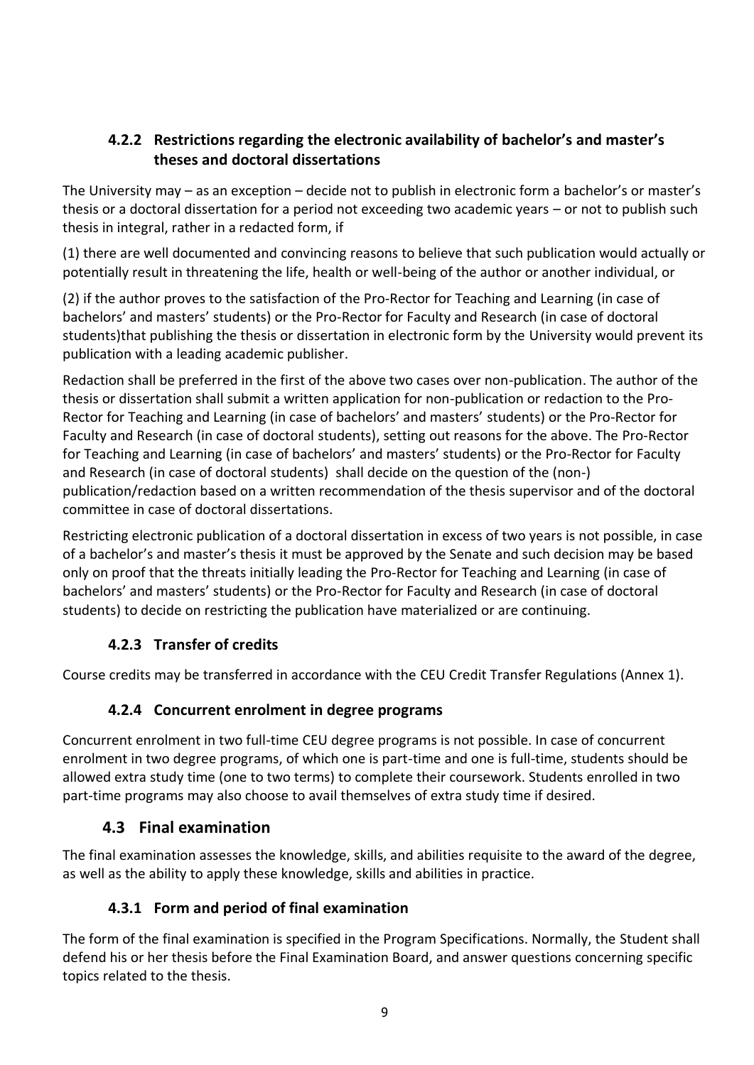### **4.2.2 Restrictions regarding the electronic availability of bachelor's and master's theses and doctoral dissertations**

The University may – as an exception – decide not to publish in electronic form a bachelor's or master's thesis or a doctoral dissertation for a period not exceeding two academic years – or not to publish such thesis in integral, rather in a redacted form, if

(1) there are well documented and convincing reasons to believe that such publication would actually or potentially result in threatening the life, health or well-being of the author or another individual, or

(2) if the author proves to the satisfaction of the Pro-Rector for Teaching and Learning (in case of bachelors' and masters' students) or the Pro-Rector for Faculty and Research (in case of doctoral students)that publishing the thesis or dissertation in electronic form by the University would prevent its publication with a leading academic publisher.

Redaction shall be preferred in the first of the above two cases over non-publication. The author of the thesis or dissertation shall submit a written application for non-publication or redaction to the Pro-Rector for Teaching and Learning (in case of bachelors' and masters' students) or the Pro-Rector for Faculty and Research (in case of doctoral students), setting out reasons for the above. The Pro-Rector for Teaching and Learning (in case of bachelors' and masters' students) or the Pro-Rector for Faculty and Research (in case of doctoral students) shall decide on the question of the (non-) publication/redaction based on a written recommendation of the thesis supervisor and of the doctoral committee in case of doctoral dissertations.

Restricting electronic publication of a doctoral dissertation in excess of two years is not possible, in case of a bachelor's and master's thesis it must be approved by the Senate and such decision may be based only on proof that the threats initially leading the Pro-Rector for Teaching and Learning (in case of bachelors' and masters' students) or the Pro-Rector for Faculty and Research (in case of doctoral students) to decide on restricting the publication have materialized or are continuing.

### **4.2.3 Transfer of credits**

Course credits may be transferred in accordance with the CEU Credit Transfer Regulations (Annex 1).

### **4.2.4 Concurrent enrolment in degree programs**

Concurrent enrolment in two full-time CEU degree programs is not possible. In case of concurrent enrolment in two degree programs, of which one is part-time and one is full-time, students should be allowed extra study time (one to two terms) to complete their coursework. Students enrolled in two part-time programs may also choose to avail themselves of extra study time if desired.

### **4.3 Final examination**

The final examination assesses the knowledge, skills, and abilities requisite to the award of the degree, as well as the ability to apply these knowledge, skills and abilities in practice.

### **4.3.1 Form and period of final examination**

The form of the final examination is specified in the Program Specifications. Normally, the Student shall defend his or her thesis before the Final Examination Board, and answer questions concerning specific topics related to the thesis.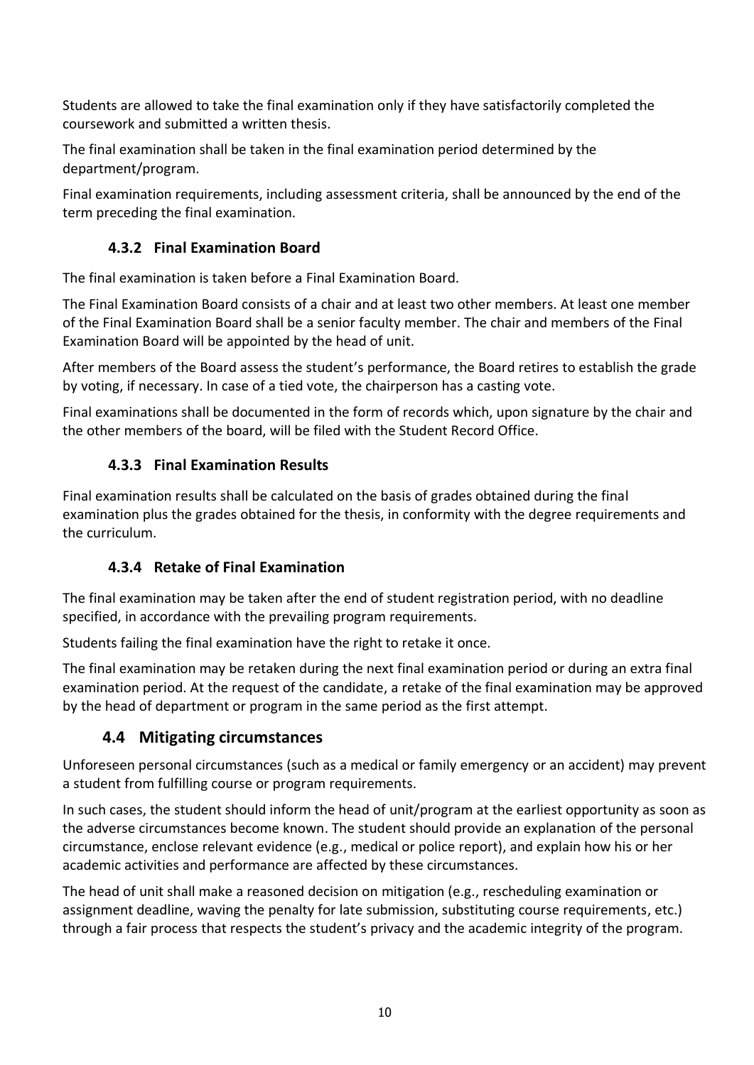Students are allowed to take the final examination only if they have satisfactorily completed the coursework and submitted a written thesis.

The final examination shall be taken in the final examination period determined by the department/program.

Final examination requirements, including assessment criteria, shall be announced by the end of the term preceding the final examination.

### **4.3.2 Final Examination Board**

The final examination is taken before a Final Examination Board.

The Final Examination Board consists of a chair and at least two other members. At least one member of the Final Examination Board shall be a senior faculty member. The chair and members of the Final Examination Board will be appointed by the head of unit.

After members of the Board assess the student's performance, the Board retires to establish the grade by voting, if necessary. In case of a tied vote, the chairperson has a casting vote.

Final examinations shall be documented in the form of records which, upon signature by the chair and the other members of the board, will be filed with the Student Record Office.

### **4.3.3 Final Examination Results**

Final examination results shall be calculated on the basis of grades obtained during the final examination plus the grades obtained for the thesis, in conformity with the degree requirements and the curriculum.

### **4.3.4 Retake of Final Examination**

The final examination may be taken after the end of student registration period, with no deadline specified, in accordance with the prevailing program requirements.

Students failing the final examination have the right to retake it once.

The final examination may be retaken during the next final examination period or during an extra final examination period. At the request of the candidate, a retake of the final examination may be approved by the head of department or program in the same period as the first attempt.

### **4.4 Mitigating circumstances**

Unforeseen personal circumstances (such as a medical or family emergency or an accident) may prevent a student from fulfilling course or program requirements.

In such cases, the student should inform the head of unit/program at the earliest opportunity as soon as the adverse circumstances become known. The student should provide an explanation of the personal circumstance, enclose relevant evidence (e.g., medical or police report), and explain how his or her academic activities and performance are affected by these circumstances.

The head of unit shall make a reasoned decision on mitigation (e.g., rescheduling examination or assignment deadline, waving the penalty for late submission, substituting course requirements, etc.) through a fair process that respects the student's privacy and the academic integrity of the program.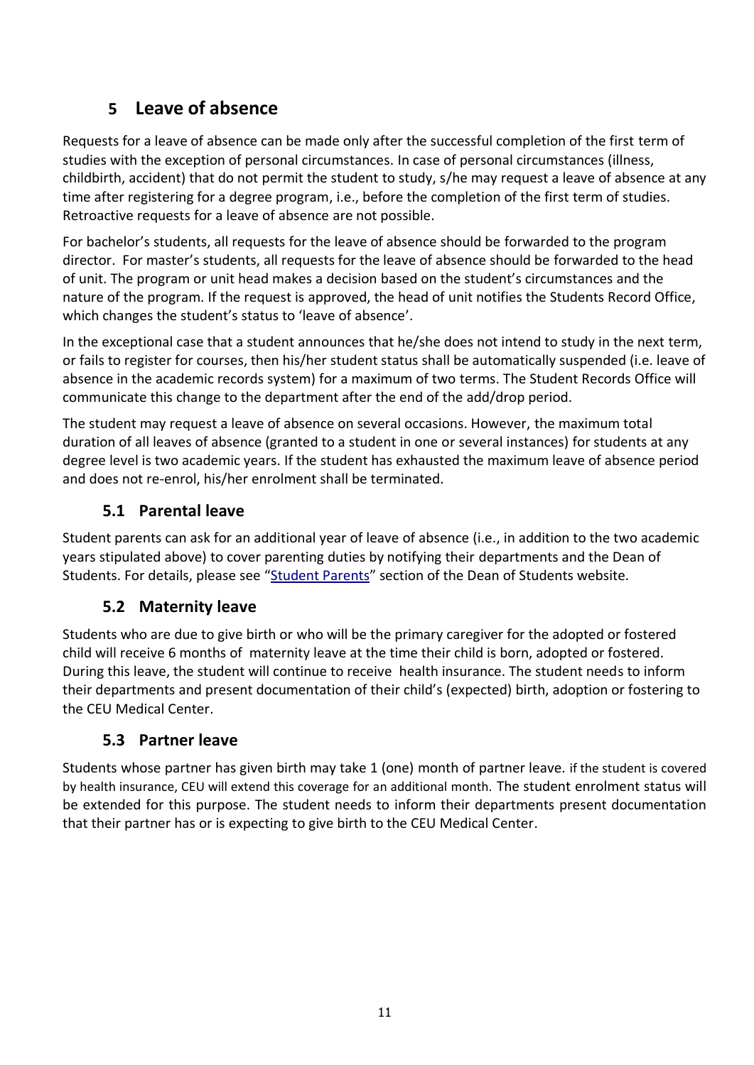# **5 Leave of absence**

Requests for a leave of absence can be made only after the successful completion of the first term of studies with the exception of personal circumstances. In case of personal circumstances (illness, childbirth, accident) that do not permit the student to study, s/he may request a leave of absence at any time after registering for a degree program, i.e., before the completion of the first term of studies. Retroactive requests for a leave of absence are not possible.

For bachelor's students, all requests for the leave of absence should be forwarded to the program director. For master's students, all requests for the leave of absence should be forwarded to the head of unit. The program or unit head makes a decision based on the student's circumstances and the nature of the program. If the request is approved, the head of unit notifies the Students Record Office, which changes the student's status to 'leave of absence'.

In the exceptional case that a student announces that he/she does not intend to study in the next term, or fails to register for courses, then his/her student status shall be automatically suspended (i.e. leave of absence in the academic records system) for a maximum of two terms. The Student Records Office will communicate this change to the department after the end of the add/drop period.

The student may request a leave of absence on several occasions. However, the maximum total duration of all leaves of absence (granted to a student in one or several instances) for students at any degree level is two academic years. If the student has exhausted the maximum leave of absence period and does not re-enrol, his/her enrolment shall be terminated.

### **5.1 Parental leave**

Student parents can ask for an additional year of leave of absence (i.e., in addition to the two academic years stipulated above) to cover parenting duties by notifying their departments and the Dean of Students. For details, please see "[Student Parents](https://ceuedu.sharepoint.com/sites/studentparents/SitePages/Student-Pregnancy-and-Parent-policy-and-types-of-parental-leave.aspx)" section of the Dean of Students website.

### **5.2 Maternity leave**

Students who are due to give birth or who will be the primary caregiver for the adopted or fostered child will receive 6 months of maternity leave at the time their child is born, adopted or fostered. During this leave, the student will continue to receive health insurance. The student needs to inform their departments and present documentation of their child's (expected) birth, adoption or fostering to the CEU Medical Center.

### **5.3 Partner leave**

Students whose partner has given birth may take 1 (one) month of partner leave. if the student is covered by health insurance, CEU will extend this coverage for an additional month. The student enrolment status will be extended for this purpose. The student needs to inform their departments present documentation that their partner has or is expecting to give birth to the CEU Medical Center.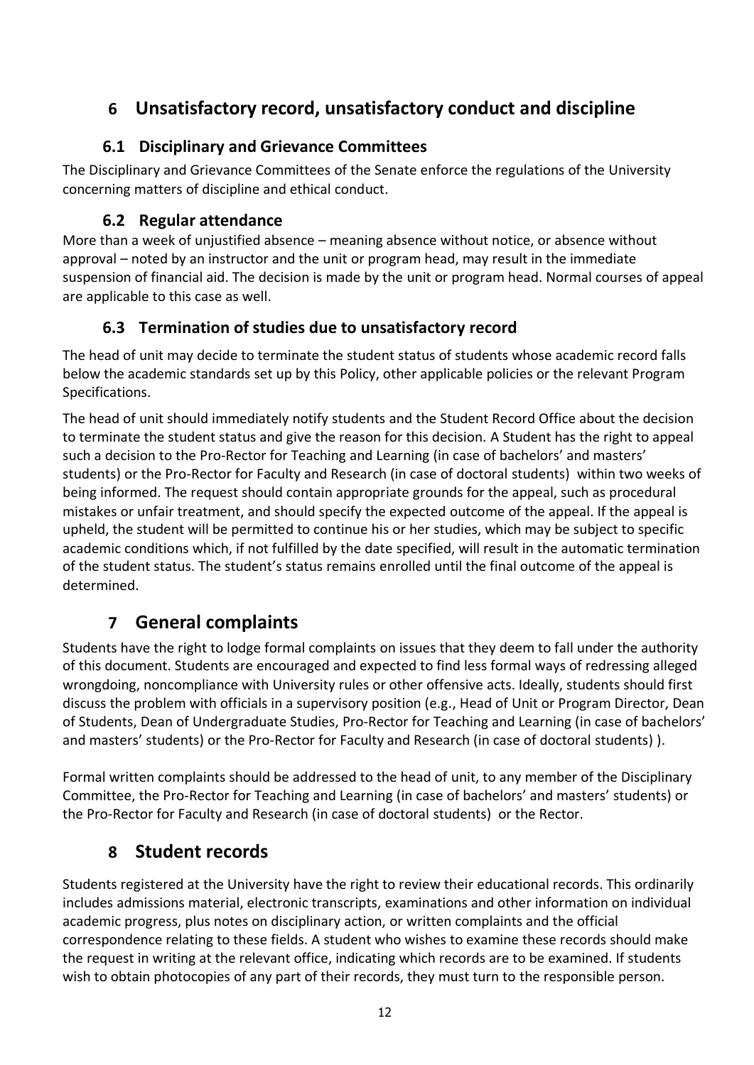# **6 Unsatisfactory record, unsatisfactory conduct and discipline**

### **6.1 Disciplinary and Grievance Committees**

The Disciplinary and Grievance Committees of the Senate enforce the regulations of the University concerning matters of discipline and ethical conduct.

### **6.2 Regular attendance**

More than a week of unjustified absence – meaning absence without notice, or absence without approval – noted by an instructor and the unit or program head, may result in the immediate suspension of financial aid. The decision is made by the unit or program head. Normal courses of appeal are applicable to this case as well.

## **6.3 Termination of studies due to unsatisfactory record**

The head of unit may decide to terminate the student status of students whose academic record falls below the academic standards set up by this Policy, other applicable policies or the relevant Program Specifications.

The head of unit should immediately notify students and the Student Record Office about the decision to terminate the student status and give the reason for this decision. A Student has the right to appeal such a decision to the Pro-Rector for Teaching and Learning (in case of bachelors' and masters' students) or the Pro-Rector for Faculty and Research (in case of doctoral students) within two weeks of being informed. The request should contain appropriate grounds for the appeal, such as procedural mistakes or unfair treatment, and should specify the expected outcome of the appeal. If the appeal is upheld, the student will be permitted to continue his or her studies, which may be subject to specific academic conditions which, if not fulfilled by the date specified, will result in the automatic termination of the student status. The student's status remains enrolled until the final outcome of the appeal is determined.

# **7 General complaints**

Students have the right to lodge formal complaints on issues that they deem to fall under the authority of this document. Students are encouraged and expected to find less formal ways of redressing alleged wrongdoing, noncompliance with University rules or other offensive acts. Ideally, students should first discuss the problem with officials in a supervisory position (e.g., Head of Unit or Program Director, Dean of Students, Dean of Undergraduate Studies, Pro-Rector for Teaching and Learning (in case of bachelors' and masters' students) or the Pro-Rector for Faculty and Research (in case of doctoral students) ).

Formal written complaints should be addressed to the head of unit, to any member of the Disciplinary Committee, the Pro-Rector for Teaching and Learning (in case of bachelors' and masters' students) or the Pro-Rector for Faculty and Research (in case of doctoral students) or the Rector.

# **8 Student records**

Students registered at the University have the right to review their educational records. This ordinarily includes admissions material, electronic transcripts, examinations and other information on individual academic progress, plus notes on disciplinary action, or written complaints and the official correspondence relating to these fields. A student who wishes to examine these records should make the request in writing at the relevant office, indicating which records are to be examined. If students wish to obtain photocopies of any part of their records, they must turn to the responsible person.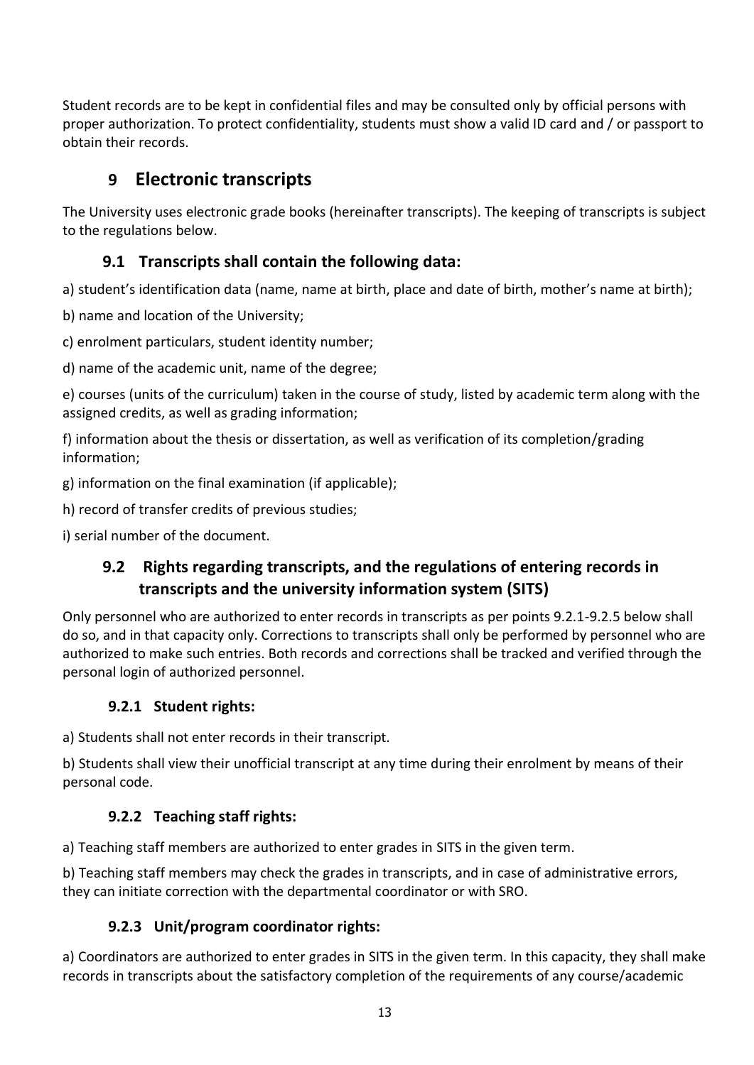Student records are to be kept in confidential files and may be consulted only by official persons with proper authorization. To protect confidentiality, students must show a valid ID card and / or passport to obtain their records.

# **9 Electronic transcripts**

The University uses electronic grade books (hereinafter transcripts). The keeping of transcripts is subject to the regulations below.

### **9.1 Transcripts shall contain the following data:**

a) student's identification data (name, name at birth, place and date of birth, mother's name at birth);

b) name and location of the University;

c) enrolment particulars, student identity number;

d) name of the academic unit, name of the degree;

e) courses (units of the curriculum) taken in the course of study, listed by academic term along with the assigned credits, as well as grading information;

f) information about the thesis or dissertation, as well as verification of its completion/grading information;

g) information on the final examination (if applicable);

h) record of transfer credits of previous studies;

i) serial number of the document.

### **9.2 Rights regarding transcripts, and the regulations of entering records in transcripts and the university information system (SITS)**

Only personnel who are authorized to enter records in transcripts as per points 9.2.1-9.2.5 below shall do so, and in that capacity only. Corrections to transcripts shall only be performed by personnel who are authorized to make such entries. Both records and corrections shall be tracked and verified through the personal login of authorized personnel.

### **9.2.1 Student rights:**

a) Students shall not enter records in their transcript.

b) Students shall view their unofficial transcript at any time during their enrolment by means of their personal code.

### **9.2.2 Teaching staff rights:**

a) Teaching staff members are authorized to enter grades in SITS in the given term.

b) Teaching staff members may check the grades in transcripts, and in case of administrative errors, they can initiate correction with the departmental coordinator or with SRO.

### **9.2.3 Unit/program coordinator rights:**

a) Coordinators are authorized to enter grades in SITS in the given term. In this capacity, they shall make records in transcripts about the satisfactory completion of the requirements of any course/academic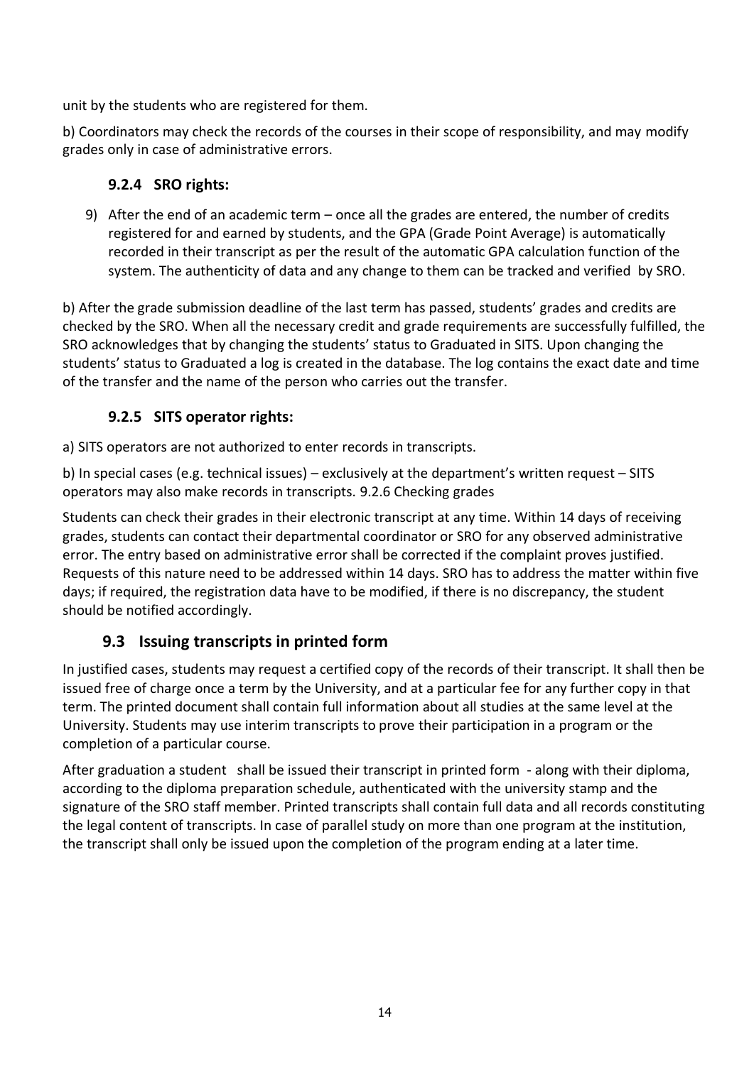unit by the students who are registered for them.

b) Coordinators may check the records of the courses in their scope of responsibility, and may modify grades only in case of administrative errors.

### **9.2.4 SRO rights:**

9) After the end of an academic term – once all the grades are entered, the number of credits registered for and earned by students, and the GPA (Grade Point Average) is automatically recorded in their transcript as per the result of the automatic GPA calculation function of the system. The authenticity of data and any change to them can be tracked and verified by SRO.

b) After the grade submission deadline of the last term has passed, students' grades and credits are checked by the SRO. When all the necessary credit and grade requirements are successfully fulfilled, the SRO acknowledges that by changing the students' status to Graduated in SITS. Upon changing the students' status to Graduated a log is created in the database. The log contains the exact date and time of the transfer and the name of the person who carries out the transfer.

### **9.2.5 SITS operator rights:**

a) SITS operators are not authorized to enter records in transcripts.

b) In special cases (e.g. technical issues) – exclusively at the department's written request – SITS operators may also make records in transcripts. 9.2.6 Checking grades

Students can check their grades in their electronic transcript at any time. Within 14 days of receiving grades, students can contact their departmental coordinator or SRO for any observed administrative error. The entry based on administrative error shall be corrected if the complaint proves justified. Requests of this nature need to be addressed within 14 days. SRO has to address the matter within five days; if required, the registration data have to be modified, if there is no discrepancy, the student should be notified accordingly.

### **9.3 Issuing transcripts in printed form**

In justified cases, students may request a certified copy of the records of their transcript. It shall then be issued free of charge once a term by the University, and at a particular fee for any further copy in that term. The printed document shall contain full information about all studies at the same level at the University. Students may use interim transcripts to prove their participation in a program or the completion of a particular course.

After graduation a student shall be issued their transcript in printed form - along with their diploma, according to the diploma preparation schedule, authenticated with the university stamp and the signature of the SRO staff member. Printed transcripts shall contain full data and all records constituting the legal content of transcripts. In case of parallel study on more than one program at the institution, the transcript shall only be issued upon the completion of the program ending at a later time.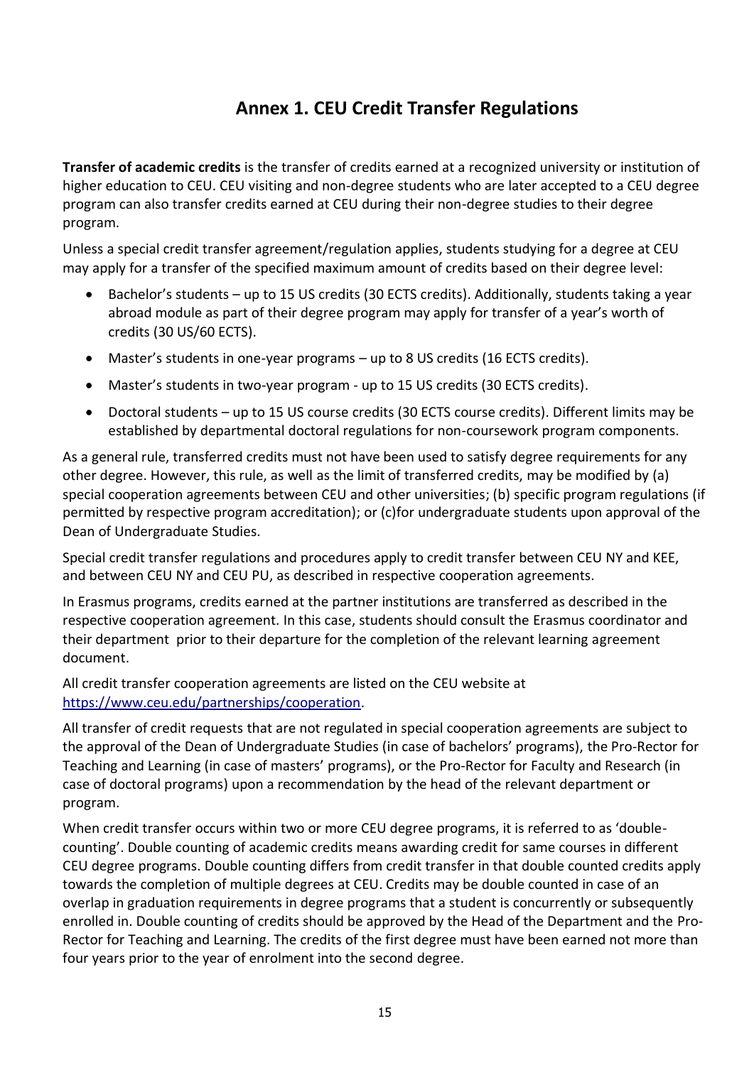# **Annex 1. CEU Credit Transfer Regulations**

**Transfer of academic credits** is the transfer of credits earned at a recognized university or institution of higher education to CEU. CEU visiting and non-degree students who are later accepted to a CEU degree program can also transfer credits earned at CEU during their non-degree studies to their degree program.

Unless a special credit transfer agreement/regulation applies, students studying for a degree at CEU may apply for a transfer of the specified maximum amount of credits based on their degree level:

- Bachelor's students up to 15 US credits (30 ECTS credits). Additionally, students taking a year abroad module as part of their degree program may apply for transfer of a year's worth of credits (30 US/60 ECTS).
- Master's students in one-year programs up to 8 US credits (16 ECTS credits).
- Master's students in two-year program up to 15 US credits (30 ECTS credits).
- Doctoral students up to 15 US course credits (30 ECTS course credits). Different limits may be established by departmental doctoral regulations for non-coursework program components.

As a general rule, transferred credits must not have been used to satisfy degree requirements for any other degree. However, this rule, as well as the limit of transferred credits, may be modified by (a) special cooperation agreements between CEU and other universities; (b) specific program regulations (if permitted by respective program accreditation); or (c)for undergraduate students upon approval of the Dean of Undergraduate Studies.

Special credit transfer regulations and procedures apply to credit transfer between CEU NY and KEE, and between CEU NY and CEU PU, as described in respective cooperation agreements.

In Erasmus programs, credits earned at the partner institutions are transferred as described in the respective cooperation agreement. In this case, students should consult the Erasmus coordinator and their department prior to their departure for the completion of the relevant learning agreement document.

All credit transfer cooperation agreements are listed on the CEU website at [https://www.ceu.edu/partnerships/cooperation.](https://www.ceu.edu/partnerships/cooperation)

All transfer of credit requests that are not regulated in special cooperation agreements are subject to the approval of the Dean of Undergraduate Studies (in case of bachelors' programs), the Pro-Rector for Teaching and Learning (in case of masters' programs), or the Pro-Rector for Faculty and Research (in case of doctoral programs) upon a recommendation by the head of the relevant department or program.

When credit transfer occurs within two or more CEU degree programs, it is referred to as 'doublecounting'. Double counting of academic credits means awarding credit for same courses in different CEU degree programs. Double counting differs from credit transfer in that double counted credits apply towards the completion of multiple degrees at CEU. Credits may be double counted in case of an overlap in graduation requirements in degree programs that a student is concurrently or subsequently enrolled in. Double counting of credits should be approved by the Head of the Department and the Pro-Rector for Teaching and Learning. The credits of the first degree must have been earned not more than four years prior to the year of enrolment into the second degree.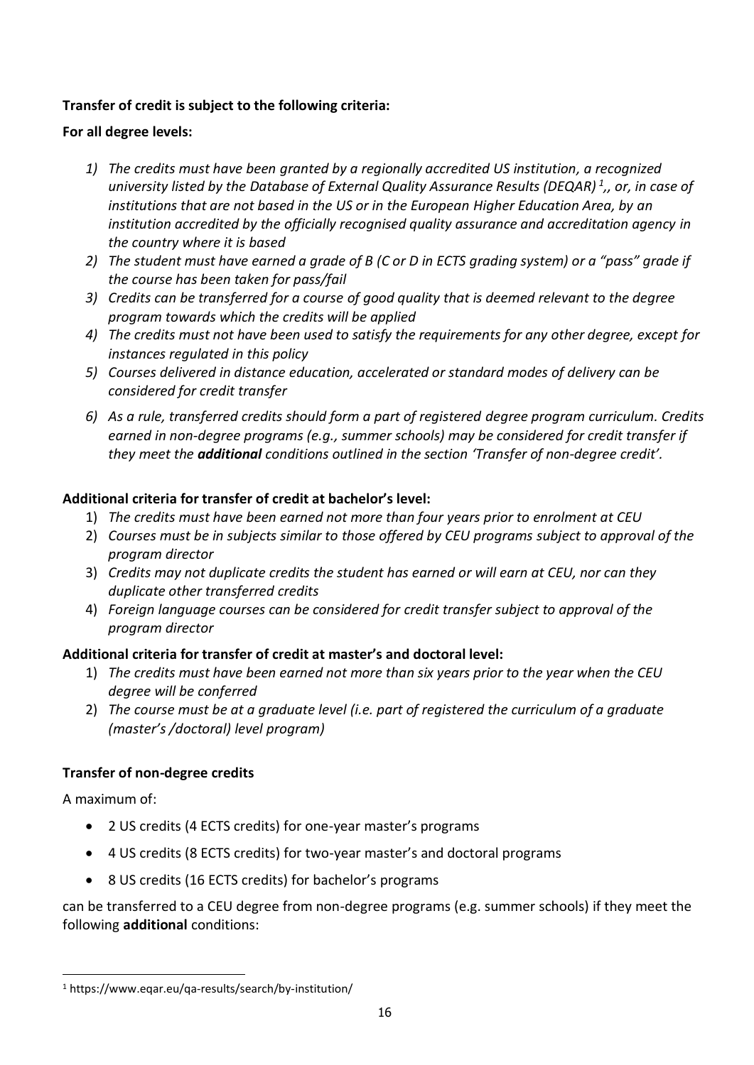#### **Transfer of credit is subject to the following criteria:**

#### **For all degree levels:**

- *1) The credits must have been granted by a regionally accredited US institution, a recognized university listed by the Database of External Quality Assurance Results (DEQAR) <sup>1</sup> ,, or, in case of institutions that are not based in the US or in the European Higher Education Area, by an institution accredited by the officially recognised quality assurance and accreditation agency in the country where it is based*
- 2) The student must have earned a grade of B (C or D in ECTS grading system) or a "pass" grade if *the course has been taken for pass/fail*
- *3) Credits can be transferred for a course of good quality that is deemed relevant to the degree program towards which the credits will be applied*
- *4) The credits must not have been used to satisfy the requirements for any other degree, except for instances regulated in this policy*
- *5) Courses delivered in distance education, accelerated or standard modes of delivery can be considered for credit transfer*
- *6) As a rule, transferred credits should form a part of registered degree program curriculum. Credits earned in non-degree programs (e.g., summer schools) may be considered for credit transfer if they meet the additional conditions outlined in the section 'Transfer of non-degree credit'.*

### **Additional criteria for transfer of credit at bachelor's level:**

- 1) *The credits must have been earned not more than four years prior to enrolment at CEU*
- 2) *Courses must be in subjects similar to those offered by CEU programs subject to approval of the program director*
- 3) *Credits may not duplicate credits the student has earned or will earn at CEU, nor can they duplicate other transferred credits*
- 4) *Foreign language courses can be considered for credit transfer subject to approval of the program director*

### **Additional criteria for transfer of credit at master's and doctoral level:**

- 1) *The credits must have been earned not more than six years prior to the year when the CEU degree will be conferred*
- 2) *The course must be at a graduate level (i.e. part of registered the curriculum of a graduate (master's /doctoral) level program)*

### **Transfer of non-degree credits**

A maximum of:

- 2 US credits (4 ECTS credits) for one-year master's programs
- 4 US credits (8 ECTS credits) for two-year master's and doctoral programs
- 8 US credits (16 ECTS credits) for bachelor's programs

can be transferred to a CEU degree from non-degree programs (e.g. summer schools) if they meet the following **additional** conditions:

<sup>1</sup> https://www.eqar.eu/qa-results/search/by-institution/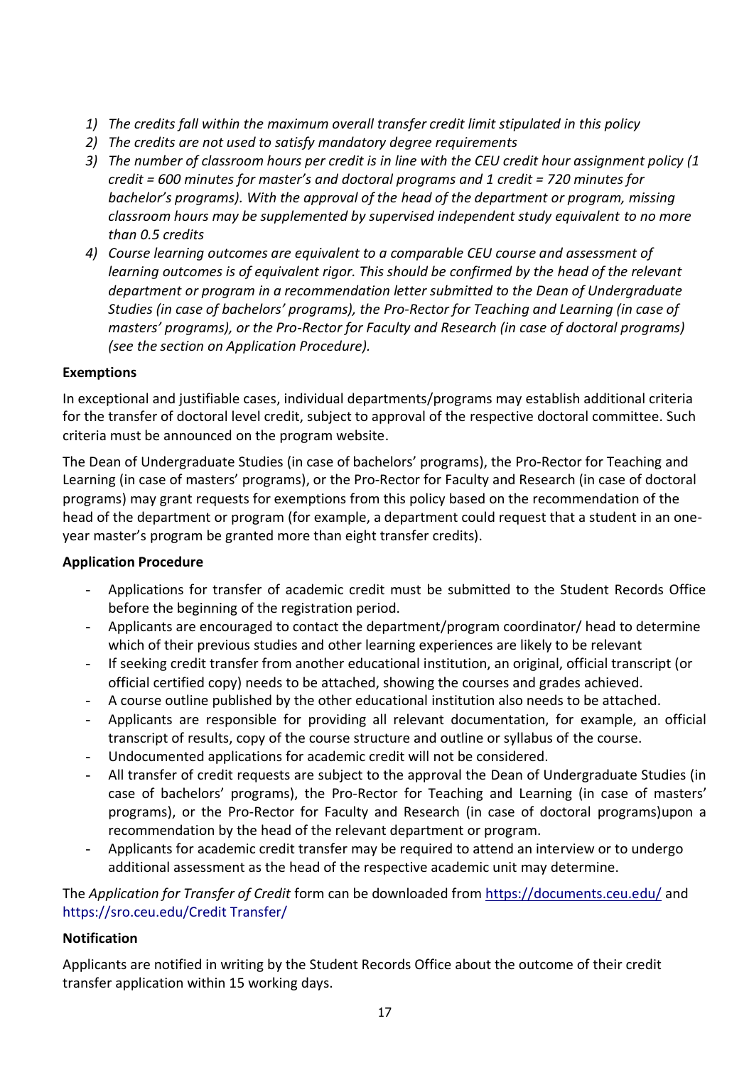- *1) The credits fall within the maximum overall transfer credit limit stipulated in this policy*
- *2) The credits are not used to satisfy mandatory degree requirements*
- *3) The number of classroom hours per credit is in line with the CEU credit hour assignment policy (1 credit = 600 minutes for master's and doctoral programs and 1 credit = 720 minutes for bachelor's programs). With the approval of the head of the department or program, missing classroom hours may be supplemented by supervised independent study equivalent to no more than 0.5 credits*
- *4) Course learning outcomes are equivalent to a comparable CEU course and assessment of learning outcomes is of equivalent rigor. This should be confirmed by the head of the relevant department or program in a recommendation letter submitted to the Dean of Undergraduate Studies (in case of bachelors' programs), the Pro-Rector for Teaching and Learning (in case of masters' programs), or the Pro-Rector for Faculty and Research (in case of doctoral programs) (see the section on Application Procedure).*

#### **Exemptions**

In exceptional and justifiable cases, individual departments/programs may establish additional criteria for the transfer of doctoral level credit, subject to approval of the respective doctoral committee. Such criteria must be announced on the program website.

The Dean of Undergraduate Studies (in case of bachelors' programs), the Pro-Rector for Teaching and Learning (in case of masters' programs), or the Pro-Rector for Faculty and Research (in case of doctoral programs) may grant requests for exemptions from this policy based on the recommendation of the head of the department or program (for example, a department could request that a student in an oneyear master's program be granted more than eight transfer credits).

#### **Application Procedure**

- Applications for transfer of academic credit must be submitted to the Student Records Office before the beginning of the registration period.
- Applicants are encouraged to contact the department/program coordinator/ head to determine which of their previous studies and other learning experiences are likely to be relevant
- If seeking credit transfer from another educational institution, an original, official transcript (or official certified copy) needs to be attached, showing the courses and grades achieved.
- A course outline published by the other educational institution also needs to be attached.
- Applicants are responsible for providing all relevant documentation, for example, an official transcript of results, copy of the course structure and outline or syllabus of the course.
- Undocumented applications for academic credit will not be considered.
- All transfer of credit requests are subject to the approval the Dean of Undergraduate Studies (in case of bachelors' programs), the Pro-Rector for Teaching and Learning (in case of masters' programs), or the Pro-Rector for Faculty and Research (in case of doctoral programs)upon a recommendation by the head of the relevant department or program.
- Applicants for academic credit transfer may be required to attend an interview or to undergo additional assessment as the head of the respective academic unit may determine.

The *Application for Transfer of Credit* form can be downloaded from<https://documents.ceu.edu/> and https://sro.ceu.edu/Credit Transfer/

#### **Notification**

Applicants are notified in writing by the Student Records Office about the outcome of their credit transfer application within 15 working days.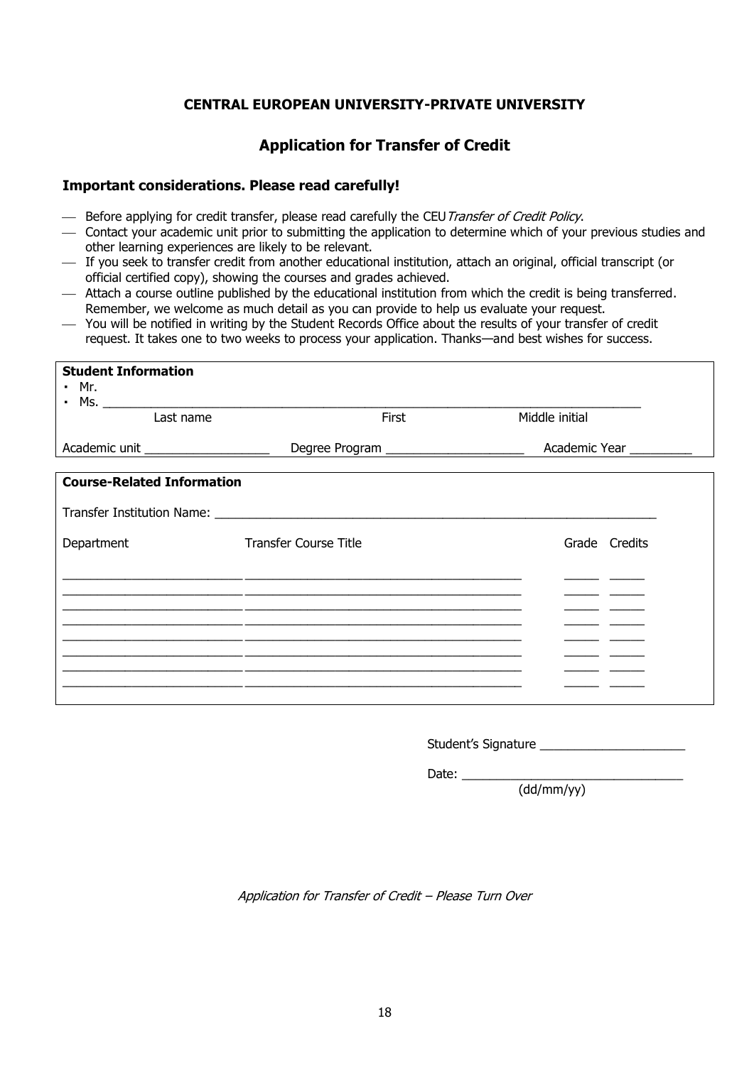#### **CENTRAL EUROPEAN UNIVERSITY-PRIVATE UNIVERSITY**

#### **Application for Transfer of Credit**

#### **Important considerations. Please read carefully!**

- Before applying for credit transfer, please read carefully the CEU Transfer of Credit Policy.
- ⎯ Contact your academic unit prior to submitting the application to determine which of your previous studies and other learning experiences are likely to be relevant.
- ⎯ If you seek to transfer credit from another educational institution, attach an original, official transcript (or official certified copy), showing the courses and grades achieved.
- ⎯ Attach a course outline published by the educational institution from which the credit is being transferred. Remember, we welcome as much detail as you can provide to help us evaluate your request.
- ⎯ You will be notified in writing by the Student Records Office about the results of your transfer of credit request. It takes one to two weeks to process your application. Thanks—and best wishes for success.

| <b>Student Information</b><br>• Mr.<br>$\mathbf{r}$ |                                                                                                                                    |                                                                                                 |
|-----------------------------------------------------|------------------------------------------------------------------------------------------------------------------------------------|-------------------------------------------------------------------------------------------------|
| Last name                                           | First                                                                                                                              | Middle initial                                                                                  |
| Academic unit ____________________                  |                                                                                                                                    |                                                                                                 |
| <b>Course-Related Information</b>                   |                                                                                                                                    |                                                                                                 |
|                                                     |                                                                                                                                    |                                                                                                 |
| Department                                          | <b>Transfer Course Title</b>                                                                                                       | Grade Credits                                                                                   |
|                                                     | <u> 1989 - Jan James James James James James James James James James James James James James James James James</u>                 |                                                                                                 |
|                                                     |                                                                                                                                    |                                                                                                 |
|                                                     |                                                                                                                                    | <u> The Common School and The Common School and The Common School and The Common School and</u> |
|                                                     | <u> 1989 - Johann John Stone, Amerikaansk politiker († 1908)</u><br><u> 1990 - Jan James James, Amerikaansk politiker (* 1905)</u> |                                                                                                 |
|                                                     |                                                                                                                                    |                                                                                                 |

| Student's Signature |  |
|---------------------|--|
|                     |  |

Date:  $\overline{\phantom{a}}$ (dd/mm/yy)

Application for Transfer of Credit – Please Turn Over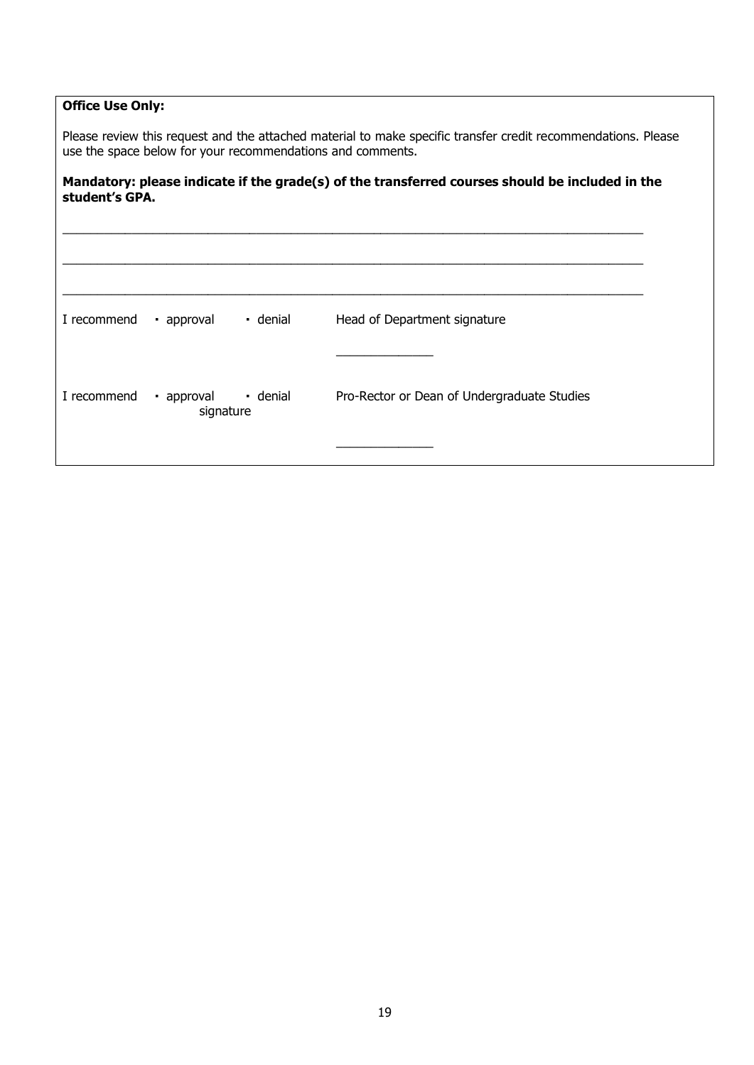#### **Office Use Only:**

Please review this request and the attached material to make specific transfer credit recommendations. Please use the space below for your recommendations and comments.

#### **Mandatory: please indicate if the grade(s) of the transferred courses should be included in the student's GPA.**

| I recommend | • approval              | · denial | Head of Department signature                |
|-------------|-------------------------|----------|---------------------------------------------|
|             |                         |          |                                             |
| I recommend | · approval<br>signature | · denial | Pro-Rector or Dean of Undergraduate Studies |
|             |                         |          |                                             |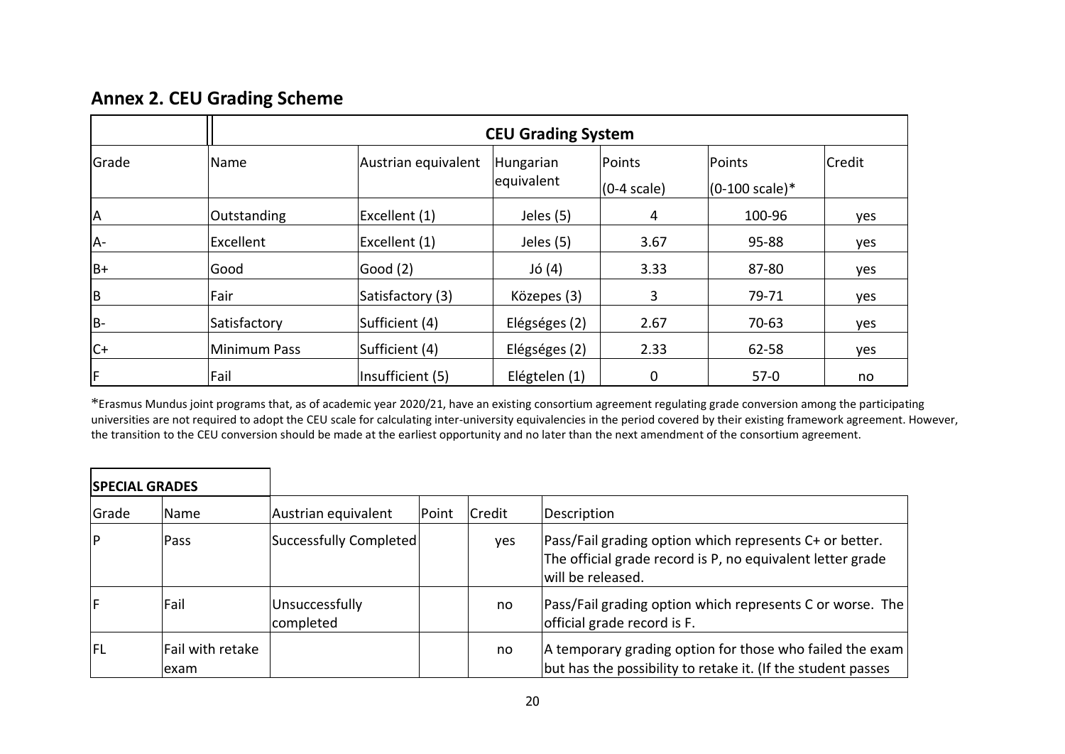# **Annex 2. CEU Grading Scheme**

|           | <b>CEU Grading System</b> |                     |                         |                         |                                    |        |  |
|-----------|---------------------------|---------------------|-------------------------|-------------------------|------------------------------------|--------|--|
| Grade     | Name                      | Austrian equivalent | Hungarian<br>equivalent | Points<br>$(0-4 scale)$ | Points<br>$(0-100 \text{ scale})*$ | Credit |  |
| <b>JA</b> | Outstanding               | Excellent (1)       | Jeles (5)               | 4                       | 100-96                             | yes    |  |
| IA-       | Excellent                 | Excellent (1)       | Jeles (5)               | 3.67                    | 95-88                              | yes    |  |
| IB+       | Good                      | Good (2)            | $J\acute{o}$ (4)        | 3.33                    | 87-80                              | yes    |  |
| ļВ.       | Fair                      | Satisfactory (3)    | Közepes (3)             | 3                       | 79-71                              | yes    |  |
| IB-       | Satisfactory              | Sufficient (4)      | Elégséges (2)           | 2.67                    | 70-63                              | yes    |  |
| $ C+$     | Minimum Pass              | Sufficient (4)      | Elégséges (2)           | 2.33                    | 62-58                              | yes    |  |
| IF.       | Fail                      | Insufficient (5)    | Elégtelen (1)           | 0                       | $57-0$                             | no     |  |

 $*$ Erasmus Mundus joint programs that, as of academic year 2020/21, have an existing consortium agreement regulating grade conversion among the participating universities are not required to adopt the CEU scale for calculating inter-university equivalencies in the period covered by their existing framework agreement. However, the transition to the CEU conversion should be made at the earliest opportunity and no later than the next amendment of the consortium agreement.

| <b>SPECIAL GRADES</b> |                           |                             |       |        |                                                                                                                                            |  |
|-----------------------|---------------------------|-----------------------------|-------|--------|--------------------------------------------------------------------------------------------------------------------------------------------|--|
| Grade                 | <b>Name</b>               | Austrian equivalent         | Point | Credit | Description                                                                                                                                |  |
| <b>P</b>              | Pass                      | Successfully Completed      |       | yes    | Pass/Fail grading option which represents C+ or better.<br>The official grade record is P, no equivalent letter grade<br>will be released. |  |
| F                     | Fail                      | Unsuccessfully<br>completed |       | no     | Pass/Fail grading option which represents C or worse. The<br>official grade record is F.                                                   |  |
| lfl                   | Fail with retake<br>lexam |                             |       | no     | A temporary grading option for those who failed the exam<br>but has the possibility to retake it. (If the student passes                   |  |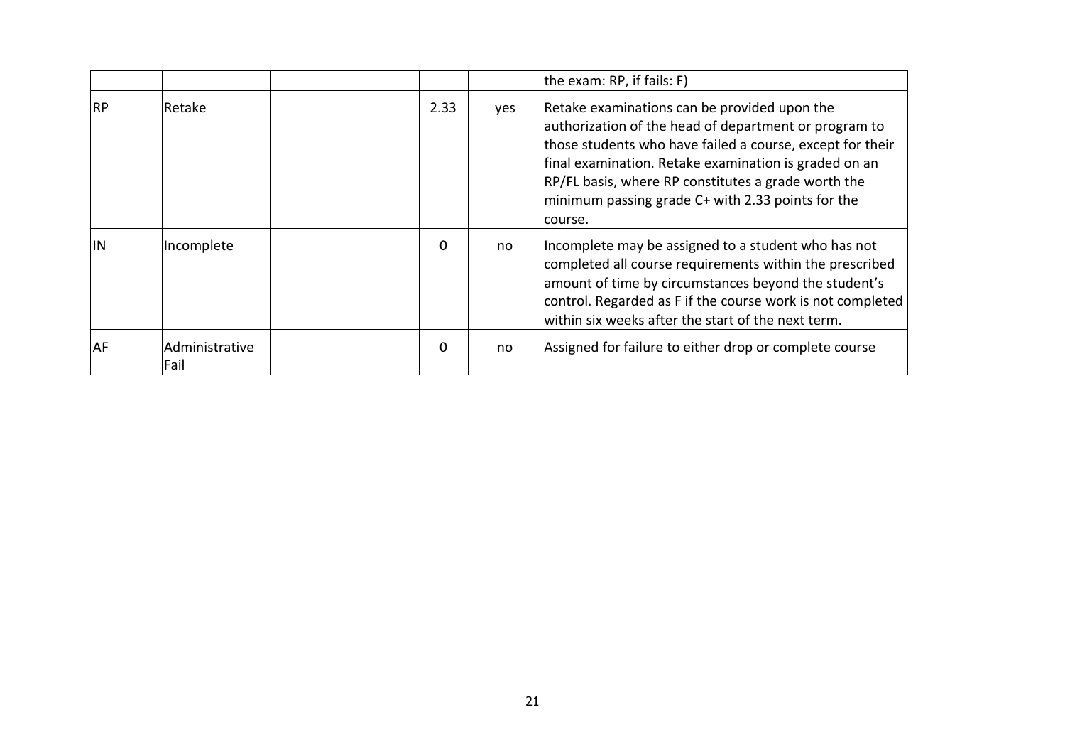|           |                        |          |     | the exam: RP, if fails: F)                                                                                                                                                                                                                                                                                                                          |
|-----------|------------------------|----------|-----|-----------------------------------------------------------------------------------------------------------------------------------------------------------------------------------------------------------------------------------------------------------------------------------------------------------------------------------------------------|
| <b>RP</b> | Retake                 | 2.33     | yes | Retake examinations can be provided upon the<br>authorization of the head of department or program to<br>those students who have failed a course, except for their<br>final examination. Retake examination is graded on an<br>RP/FL basis, where RP constitutes a grade worth the<br>minimum passing grade C+ with 2.33 points for the<br>lcourse. |
| <b>IN</b> | Incomplete             | $\Omega$ | no  | Incomplete may be assigned to a student who has not<br>completed all course requirements within the prescribed<br>amount of time by circumstances beyond the student's<br>control. Regarded as F if the course work is not completed<br>within six weeks after the start of the next term.                                                          |
| AF        | Administrative<br>Fail | 0        | no  | Assigned for failure to either drop or complete course                                                                                                                                                                                                                                                                                              |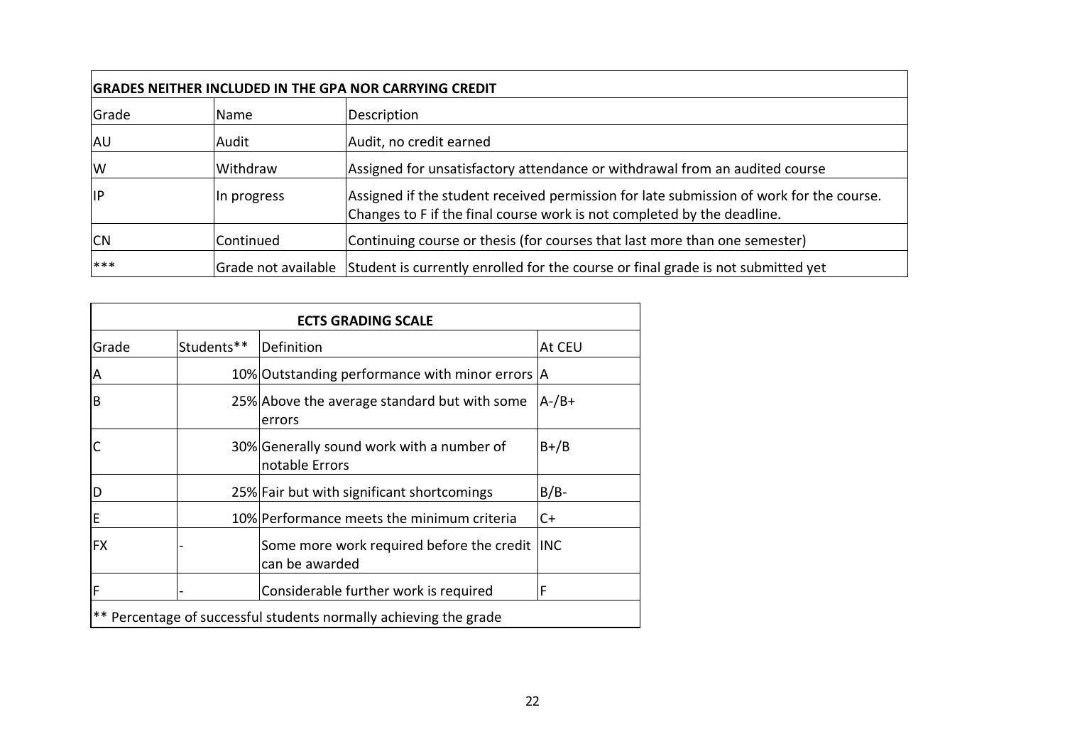|            | <b>GRADES NEITHER INCLUDED IN THE GPA NOR CARRYING CREDIT</b> |                                                                                                                                                                    |  |  |  |  |
|------------|---------------------------------------------------------------|--------------------------------------------------------------------------------------------------------------------------------------------------------------------|--|--|--|--|
| Grade      | Name                                                          | Description                                                                                                                                                        |  |  |  |  |
| AU         | Audit                                                         | Audit, no credit earned                                                                                                                                            |  |  |  |  |
| IW         | Withdraw                                                      | Assigned for unsatisfactory attendance or withdrawal from an audited course                                                                                        |  |  |  |  |
| <b>IIP</b> | In progress                                                   | Assigned if the student received permission for late submission of work for the course.<br>Changes to F if the final course work is not completed by the deadline. |  |  |  |  |
| <b>CN</b>  | Continued                                                     | Continuing course or thesis (for courses that last more than one semester)                                                                                         |  |  |  |  |
| ***        |                                                               | Grade not available Student is currently enrolled for the course or final grade is not submitted yet                                                               |  |  |  |  |

| <b>ECTS GRADING SCALE</b> |                                                                   |                                                             |            |  |  |  |  |
|---------------------------|-------------------------------------------------------------------|-------------------------------------------------------------|------------|--|--|--|--|
| Grade                     | Students**                                                        | Definition                                                  | At CEU     |  |  |  |  |
| A                         |                                                                   | 10% Outstanding performance with minor errors A             |            |  |  |  |  |
| B                         |                                                                   | 25% Above the average standard but with some<br>errors      | $A$ -/B+   |  |  |  |  |
|                           |                                                                   | 30% Generally sound work with a number of<br>notable Errors | $B+/B$     |  |  |  |  |
| D                         |                                                                   | 25% Fair but with significant shortcomings                  | $B/B-$     |  |  |  |  |
| E                         |                                                                   | 10% Performance meets the minimum criteria                  | C+         |  |  |  |  |
| <b>FX</b>                 |                                                                   | Some more work required before the credit<br>can be awarded | <b>INC</b> |  |  |  |  |
| F                         |                                                                   | Considerable further work is required                       | F          |  |  |  |  |
|                           | ** Percentage of successful students normally achieving the grade |                                                             |            |  |  |  |  |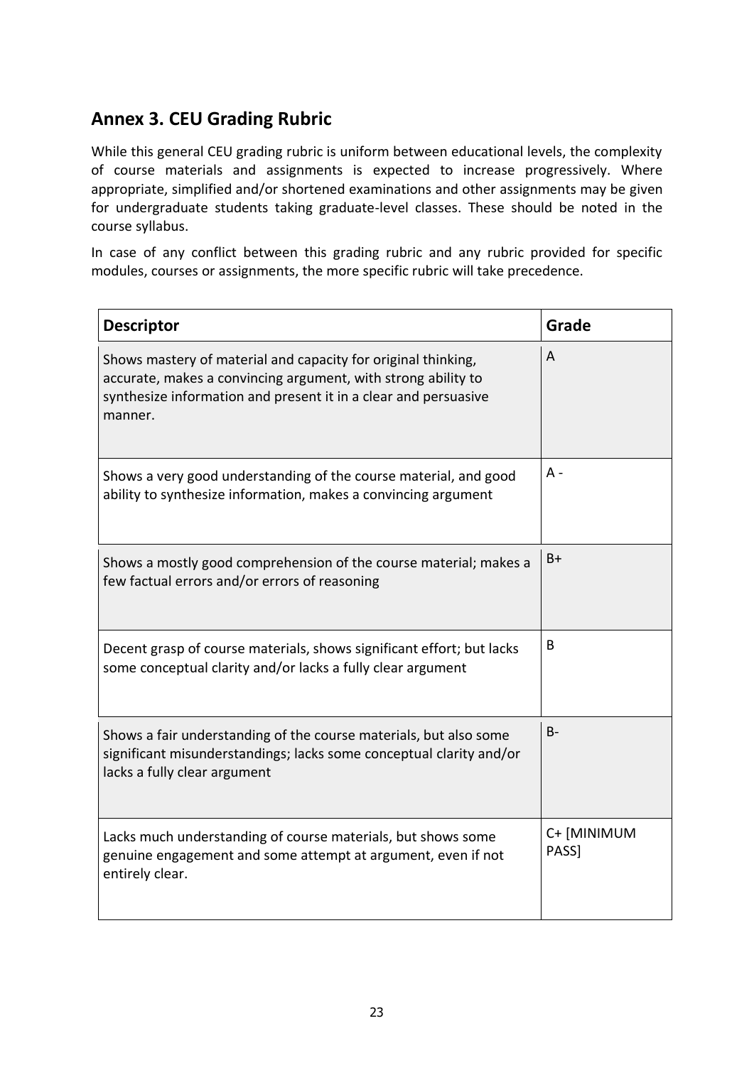# **Annex 3. CEU Grading Rubric**

While this general CEU grading rubric is uniform between educational levels, the complexity of course materials and assignments is expected to increase progressively. Where appropriate, simplified and/or shortened examinations and other assignments may be given for undergraduate students taking graduate-level classes. These should be noted in the course syllabus.

In case of any conflict between this grading rubric and any rubric provided for specific modules, courses or assignments, the more specific rubric will take precedence.

| <b>Descriptor</b>                                                                                                                                                                                            | Grade                |
|--------------------------------------------------------------------------------------------------------------------------------------------------------------------------------------------------------------|----------------------|
| Shows mastery of material and capacity for original thinking,<br>accurate, makes a convincing argument, with strong ability to<br>synthesize information and present it in a clear and persuasive<br>manner. | A                    |
| Shows a very good understanding of the course material, and good<br>ability to synthesize information, makes a convincing argument                                                                           | А -                  |
| Shows a mostly good comprehension of the course material; makes a<br>few factual errors and/or errors of reasoning                                                                                           | $B+$                 |
| Decent grasp of course materials, shows significant effort; but lacks<br>some conceptual clarity and/or lacks a fully clear argument                                                                         | B                    |
| Shows a fair understanding of the course materials, but also some<br>significant misunderstandings; lacks some conceptual clarity and/or<br>lacks a fully clear argument                                     | B-                   |
| Lacks much understanding of course materials, but shows some<br>genuine engagement and some attempt at argument, even if not<br>entirely clear.                                                              | C+ [MINIMUM<br>PASS] |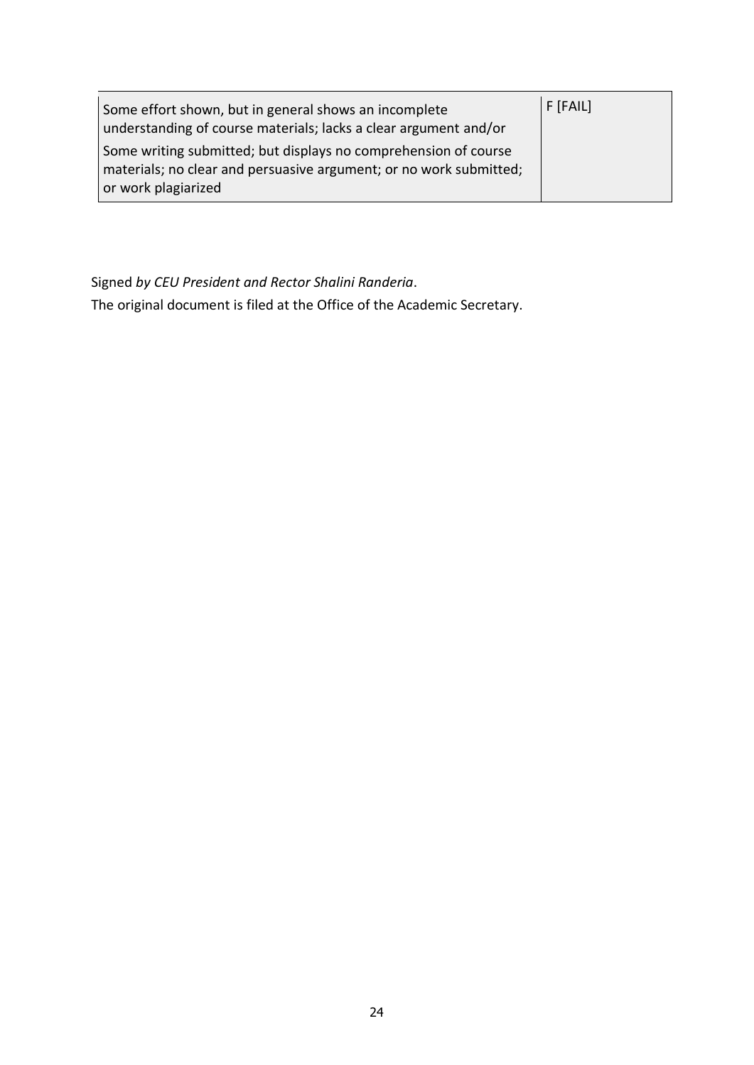| Some effort shown, but in general shows an incomplete<br>understanding of course materials; lacks a clear argument and/or                                    | $F$ [FAIL] |
|--------------------------------------------------------------------------------------------------------------------------------------------------------------|------------|
| Some writing submitted; but displays no comprehension of course<br>materials; no clear and persuasive argument; or no work submitted;<br>or work plagiarized |            |

Signed *by CEU President and Rector Shalini Randeria*.

The original document is filed at the Office of the Academic Secretary.